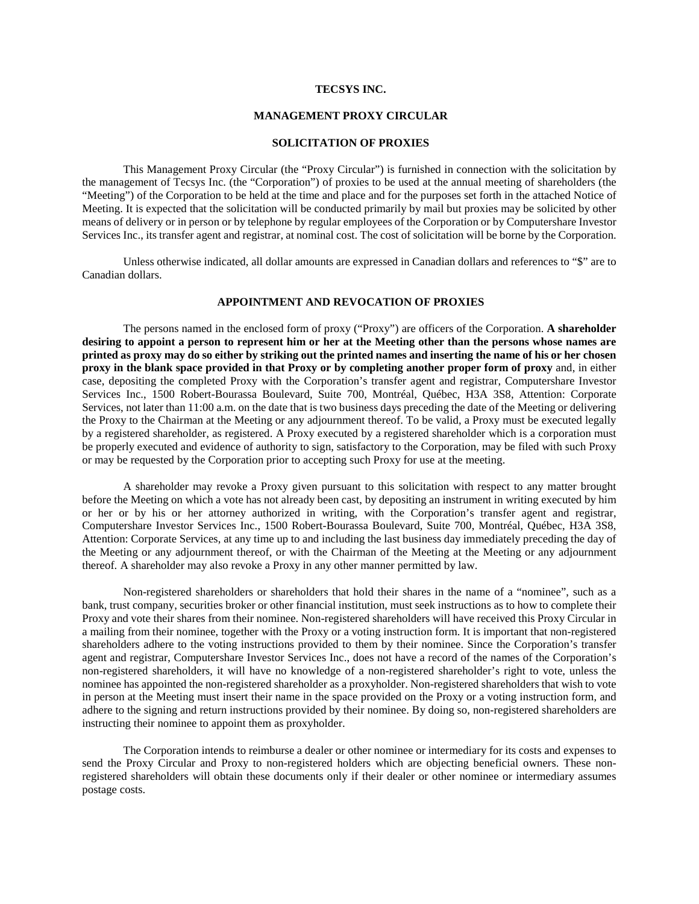## **TECSYS INC.**

# **MANAGEMENT PROXY CIRCULAR**

### **SOLICITATION OF PROXIES**

This Management Proxy Circular (the "Proxy Circular") is furnished in connection with the solicitation by the management of Tecsys Inc. (the "Corporation") of proxies to be used at the annual meeting of shareholders (the "Meeting") of the Corporation to be held at the time and place and for the purposes set forth in the attached Notice of Meeting. It is expected that the solicitation will be conducted primarily by mail but proxies may be solicited by other means of delivery or in person or by telephone by regular employees of the Corporation or by Computershare Investor Services Inc., its transfer agent and registrar, at nominal cost. The cost of solicitation will be borne by the Corporation.

Unless otherwise indicated, all dollar amounts are expressed in Canadian dollars and references to "\$" are to Canadian dollars.

# **APPOINTMENT AND REVOCATION OF PROXIES**

The persons named in the enclosed form of proxy ("Proxy") are officers of the Corporation. **A shareholder desiring to appoint a person to represent him or her at the Meeting other than the persons whose names are printed as proxy may do so either by striking out the printed names and inserting the name of his or her chosen proxy in the blank space provided in that Proxy or by completing another proper form of proxy** and, in either case, depositing the completed Proxy with the Corporation's transfer agent and registrar, Computershare Investor Services Inc., 1500 Robert-Bourassa Boulevard, Suite 700, Montréal, Québec, H3A 3S8, Attention: Corporate Services, not later than 11:00 a.m. on the date that is two business days preceding the date of the Meeting or delivering the Proxy to the Chairman at the Meeting or any adjournment thereof. To be valid, a Proxy must be executed legally by a registered shareholder, as registered. A Proxy executed by a registered shareholder which is a corporation must be properly executed and evidence of authority to sign, satisfactory to the Corporation, may be filed with such Proxy or may be requested by the Corporation prior to accepting such Proxy for use at the meeting.

A shareholder may revoke a Proxy given pursuant to this solicitation with respect to any matter brought before the Meeting on which a vote has not already been cast, by depositing an instrument in writing executed by him or her or by his or her attorney authorized in writing, with the Corporation's transfer agent and registrar, Computershare Investor Services Inc., 1500 Robert-Bourassa Boulevard, Suite 700, Montréal, Québec, H3A 3S8, Attention: Corporate Services, at any time up to and including the last business day immediately preceding the day of the Meeting or any adjournment thereof, or with the Chairman of the Meeting at the Meeting or any adjournment thereof. A shareholder may also revoke a Proxy in any other manner permitted by law.

Non-registered shareholders or shareholders that hold their shares in the name of a "nominee", such as a bank, trust company, securities broker or other financial institution, must seek instructions as to how to complete their Proxy and vote their shares from their nominee. Non-registered shareholders will have received this Proxy Circular in a mailing from their nominee, together with the Proxy or a voting instruction form. It is important that non-registered shareholders adhere to the voting instructions provided to them by their nominee. Since the Corporation's transfer agent and registrar, Computershare Investor Services Inc., does not have a record of the names of the Corporation's non-registered shareholders, it will have no knowledge of a non-registered shareholder's right to vote, unless the nominee has appointed the non-registered shareholder as a proxyholder. Non-registered shareholders that wish to vote in person at the Meeting must insert their name in the space provided on the Proxy or a voting instruction form, and adhere to the signing and return instructions provided by their nominee. By doing so, non-registered shareholders are instructing their nominee to appoint them as proxyholder.

The Corporation intends to reimburse a dealer or other nominee or intermediary for its costs and expenses to send the Proxy Circular and Proxy to non-registered holders which are objecting beneficial owners. These nonregistered shareholders will obtain these documents only if their dealer or other nominee or intermediary assumes postage costs.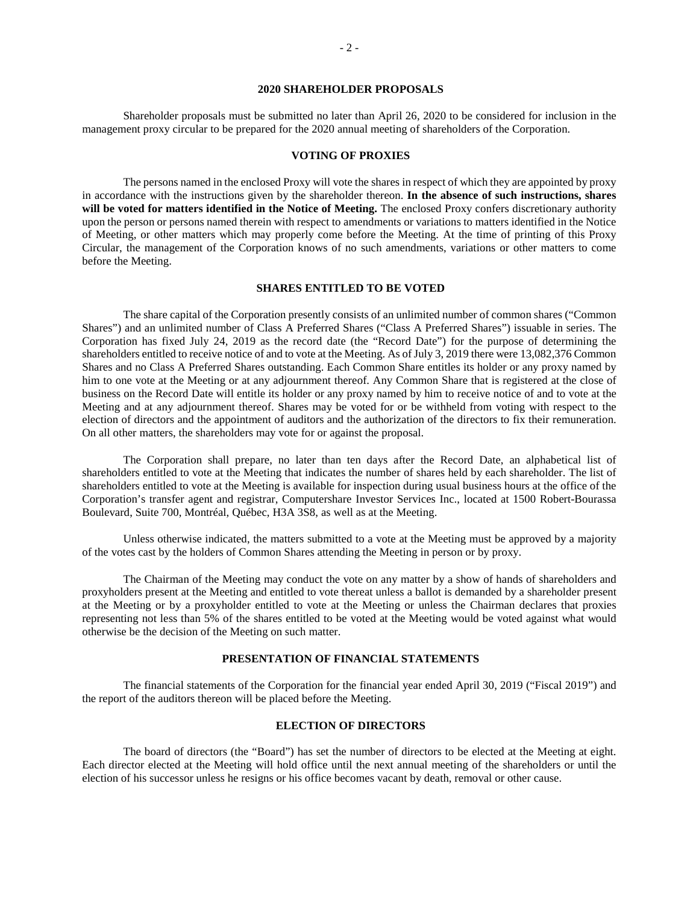## **2020 SHAREHOLDER PROPOSALS**

Shareholder proposals must be submitted no later than April 26, 2020 to be considered for inclusion in the management proxy circular to be prepared for the 2020 annual meeting of shareholders of the Corporation.

#### **VOTING OF PROXIES**

The persons named in the enclosed Proxy will vote the shares in respect of which they are appointed by proxy in accordance with the instructions given by the shareholder thereon. **In the absence of such instructions, shares will be voted for matters identified in the Notice of Meeting.** The enclosed Proxy confers discretionary authority upon the person or persons named therein with respect to amendments or variations to matters identified in the Notice of Meeting, or other matters which may properly come before the Meeting. At the time of printing of this Proxy Circular, the management of the Corporation knows of no such amendments, variations or other matters to come before the Meeting.

## **SHARES ENTITLED TO BE VOTED**

The share capital of the Corporation presently consists of an unlimited number of common shares ("Common Shares") and an unlimited number of Class A Preferred Shares ("Class A Preferred Shares") issuable in series. The Corporation has fixed July 24, 2019 as the record date (the "Record Date") for the purpose of determining the shareholders entitled to receive notice of and to vote at the Meeting. As of July 3, 2019 there were 13,082,376 Common Shares and no Class A Preferred Shares outstanding. Each Common Share entitles its holder or any proxy named by him to one vote at the Meeting or at any adjournment thereof. Any Common Share that is registered at the close of business on the Record Date will entitle its holder or any proxy named by him to receive notice of and to vote at the Meeting and at any adjournment thereof. Shares may be voted for or be withheld from voting with respect to the election of directors and the appointment of auditors and the authorization of the directors to fix their remuneration. On all other matters, the shareholders may vote for or against the proposal.

The Corporation shall prepare, no later than ten days after the Record Date, an alphabetical list of shareholders entitled to vote at the Meeting that indicates the number of shares held by each shareholder. The list of shareholders entitled to vote at the Meeting is available for inspection during usual business hours at the office of the Corporation's transfer agent and registrar, Computershare Investor Services Inc., located at 1500 Robert-Bourassa Boulevard, Suite 700, Montréal, Québec, H3A 3S8, as well as at the Meeting.

Unless otherwise indicated, the matters submitted to a vote at the Meeting must be approved by a majority of the votes cast by the holders of Common Shares attending the Meeting in person or by proxy.

The Chairman of the Meeting may conduct the vote on any matter by a show of hands of shareholders and proxyholders present at the Meeting and entitled to vote thereat unless a ballot is demanded by a shareholder present at the Meeting or by a proxyholder entitled to vote at the Meeting or unless the Chairman declares that proxies representing not less than 5% of the shares entitled to be voted at the Meeting would be voted against what would otherwise be the decision of the Meeting on such matter.

# **PRESENTATION OF FINANCIAL STATEMENTS**

The financial statements of the Corporation for the financial year ended April 30, 2019 ("Fiscal 2019") and the report of the auditors thereon will be placed before the Meeting.

#### **ELECTION OF DIRECTORS**

The board of directors (the "Board") has set the number of directors to be elected at the Meeting at eight. Each director elected at the Meeting will hold office until the next annual meeting of the shareholders or until the election of his successor unless he resigns or his office becomes vacant by death, removal or other cause.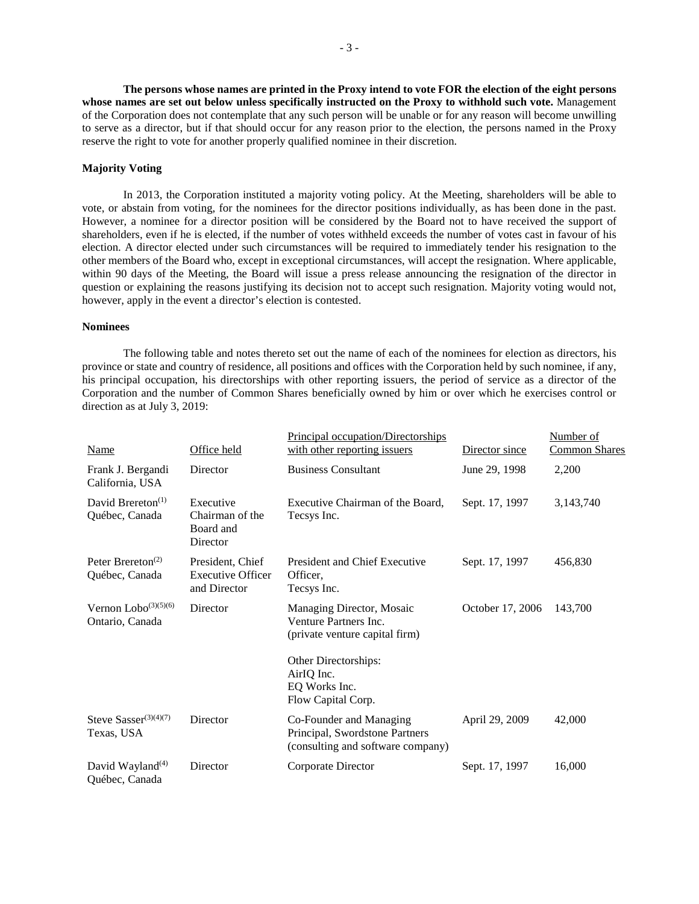**The persons whose names are printed in the Proxy intend to vote FOR the election of the eight persons whose names are set out below unless specifically instructed on the Proxy to withhold such vote.** Management of the Corporation does not contemplate that any such person will be unable or for any reason will become unwilling to serve as a director, but if that should occur for any reason prior to the election, the persons named in the Proxy reserve the right to vote for another properly qualified nominee in their discretion.

# **Majority Voting**

In 2013, the Corporation instituted a majority voting policy. At the Meeting, shareholders will be able to vote, or abstain from voting, for the nominees for the director positions individually, as has been done in the past. However, a nominee for a director position will be considered by the Board not to have received the support of shareholders, even if he is elected, if the number of votes withheld exceeds the number of votes cast in favour of his election. A director elected under such circumstances will be required to immediately tender his resignation to the other members of the Board who, except in exceptional circumstances, will accept the resignation. Where applicable, within 90 days of the Meeting, the Board will issue a press release announcing the resignation of the director in question or explaining the reasons justifying its decision not to accept such resignation. Majority voting would not, however, apply in the event a director's election is contested.

# **Nominees**

The following table and notes thereto set out the name of each of the nominees for election as directors, his province or state and country of residence, all positions and offices with the Corporation held by such nominee, if any, his principal occupation, his directorships with other reporting issuers, the period of service as a director of the Corporation and the number of Common Shares beneficially owned by him or over which he exercises control or direction as at July 3, 2019:

|                                                              |                                                              | Principal occupation/Directorships                                                             |                  | Number of            |
|--------------------------------------------------------------|--------------------------------------------------------------|------------------------------------------------------------------------------------------------|------------------|----------------------|
| <b>Name</b>                                                  | Office held                                                  | with other reporting issuers                                                                   | Director since   | <b>Common Shares</b> |
| Frank J. Bergandi<br>California, USA                         | Director                                                     | <b>Business Consultant</b>                                                                     | June 29, 1998    | 2,200                |
| David Brereton <sup>(1)</sup><br>Québec, Canada              | Executive<br>Chairman of the<br>Board and<br>Director        | Executive Chairman of the Board,<br>Tecsys Inc.                                                | Sept. 17, 1997   | 3,143,740            |
| Peter Brereton <sup><math>(2)</math></sup><br>Québec, Canada | President, Chief<br><b>Executive Officer</b><br>and Director | <b>President and Chief Executive</b><br>Officer.<br>Tecsys Inc.                                | Sept. 17, 1997   | 456,830              |
| Vernon $Lobo^{(3)(5)(6)}$<br>Ontario, Canada                 | Director                                                     | Managing Director, Mosaic<br>Venture Partners Inc.<br>(private venture capital firm)           | October 17, 2006 | 143,700              |
|                                                              |                                                              | Other Directorships:<br>Air <sub>IQ</sub> Inc.<br>EQ Works Inc.<br>Flow Capital Corp.          |                  |                      |
| Steve Sasser <sup>(3)(4)(7)</sup><br>Texas, USA              | Director                                                     | Co-Founder and Managing<br>Principal, Swordstone Partners<br>(consulting and software company) | April 29, 2009   | 42,000               |
| David Wayland <sup>(4)</sup><br>Québec, Canada               | Director                                                     | Corporate Director                                                                             | Sept. 17, 1997   | 16,000               |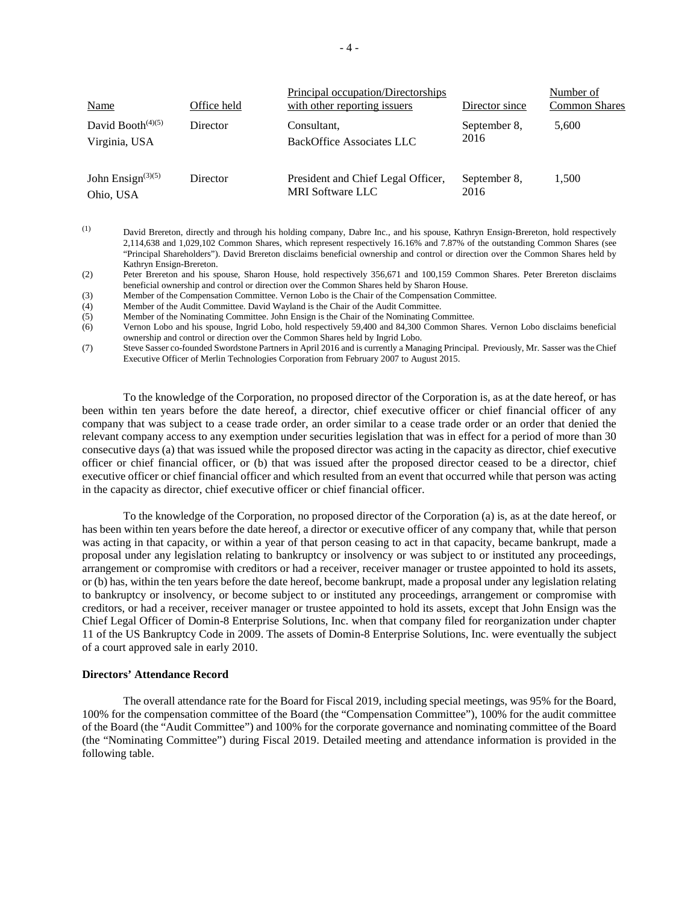| <b>Name</b>                           | Office held | Principal occupation/Directorships<br>with other reporting issuers | Director since       | Number of<br><b>Common Shares</b> |
|---------------------------------------|-------------|--------------------------------------------------------------------|----------------------|-----------------------------------|
| David Booth $(4)(5)$<br>Virginia, USA | Director    | Consultant,<br>BackOffice Associates LLC                           | September 8,<br>2016 | 5,600                             |
| John Ensign $(3)(5)$<br>Ohio, USA     | Director    | President and Chief Legal Officer,<br><b>MRI</b> Software LLC      | September 8.<br>2016 | 1,500                             |

<sup>(1)</sup> David Brereton, directly and through his holding company, Dabre Inc., and his spouse, Kathryn Ensign-Brereton, hold respectively 2,114,638 and 1,029,102 Common Shares, which represent respectively 16.16% and 7.87% of the outstanding Common Shares (see "Principal Shareholders"). David Brereton disclaims beneficial ownership and control or direction over the Common Shares held by Kathryn Ensign-Brereton.

(2) Peter Brereton and his spouse, Sharon House, hold respectively 356,671 and 100,159 Common Shares. Peter Brereton disclaims beneficial ownership and control or direction over the Common Shares held by Sharon House.

(3) Member of the Compensation Committee. Vernon Lobo is the Chair of the Compensation Committee.

(4) Member of the Audit Committee. David Wayland is the Chair of the Audit Committee.

(5) Member of the Nominating Committee. John Ensign is the Chair of the Nominating Committee.

(6) Vernon Lobo and his spouse, Ingrid Lobo, hold respectively 59,400 and 84,300 Common Shares. Vernon Lobo disclaims beneficial ownership and control or direction over the Common Shares held by Ingrid Lobo.

(7) Steve Sasser co-founded Swordstone Partners in April 2016 and is currently a Managing Principal. Previously, Mr. Sasser was the Chief Executive Officer of Merlin Technologies Corporation from February 2007 to August 2015.

To the knowledge of the Corporation, no proposed director of the Corporation is, as at the date hereof, or has been within ten years before the date hereof, a director, chief executive officer or chief financial officer of any company that was subject to a cease trade order, an order similar to a cease trade order or an order that denied the relevant company access to any exemption under securities legislation that was in effect for a period of more than 30 consecutive days (a) that was issued while the proposed director was acting in the capacity as director, chief executive officer or chief financial officer, or (b) that was issued after the proposed director ceased to be a director, chief executive officer or chief financial officer and which resulted from an event that occurred while that person was acting in the capacity as director, chief executive officer or chief financial officer.

To the knowledge of the Corporation, no proposed director of the Corporation (a) is, as at the date hereof, or has been within ten years before the date hereof, a director or executive officer of any company that, while that person was acting in that capacity, or within a year of that person ceasing to act in that capacity, became bankrupt, made a proposal under any legislation relating to bankruptcy or insolvency or was subject to or instituted any proceedings, arrangement or compromise with creditors or had a receiver, receiver manager or trustee appointed to hold its assets, or (b) has, within the ten years before the date hereof, become bankrupt, made a proposal under any legislation relating to bankruptcy or insolvency, or become subject to or instituted any proceedings, arrangement or compromise with creditors, or had a receiver, receiver manager or trustee appointed to hold its assets, except that John Ensign was the Chief Legal Officer of Domin-8 Enterprise Solutions, Inc. when that company filed for reorganization under chapter 11 of the US Bankruptcy Code in 2009. The assets of Domin-8 Enterprise Solutions, Inc. were eventually the subject of a court approved sale in early 2010.

#### **Directors' Attendance Record**

The overall attendance rate for the Board for Fiscal 2019, including special meetings, was 95% for the Board, 100% for the compensation committee of the Board (the "Compensation Committee"), 100% for the audit committee of the Board (the "Audit Committee") and 100% for the corporate governance and nominating committee of the Board (the "Nominating Committee") during Fiscal 2019. Detailed meeting and attendance information is provided in the following table.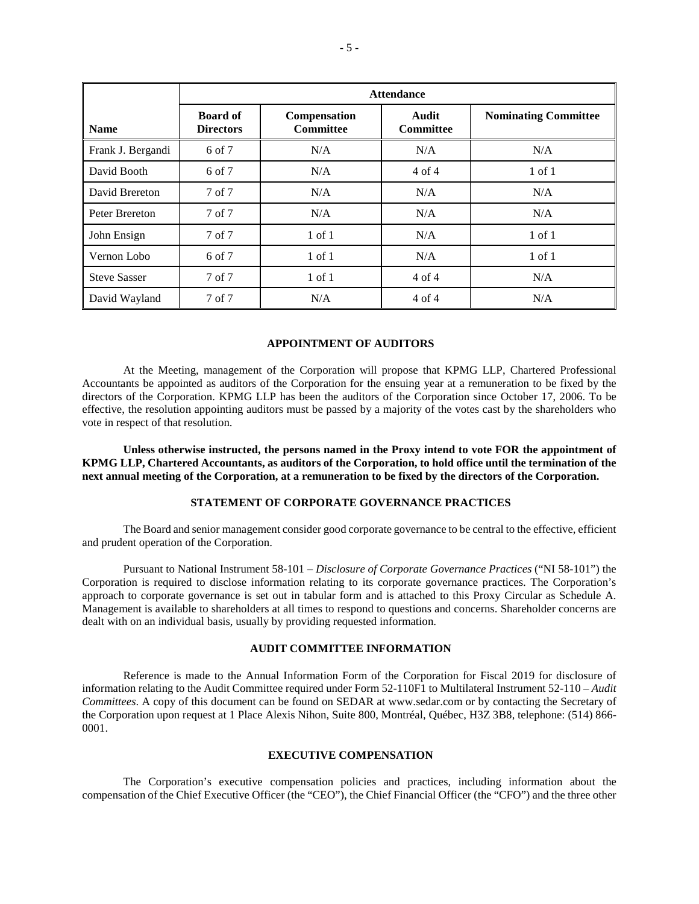|                     | <b>Attendance</b>                   |                                  |                                  |                             |  |  |  |
|---------------------|-------------------------------------|----------------------------------|----------------------------------|-----------------------------|--|--|--|
| <b>Name</b>         | <b>Board of</b><br><b>Directors</b> | Compensation<br><b>Committee</b> | <b>Audit</b><br><b>Committee</b> | <b>Nominating Committee</b> |  |  |  |
| Frank J. Bergandi   | 6 of 7                              | N/A                              | N/A                              | N/A                         |  |  |  |
| David Booth         | 6 of 7                              | N/A                              | $4$ of $4$                       | $1$ of $1$                  |  |  |  |
| David Brereton      | 7 of 7                              | N/A                              | N/A                              | N/A                         |  |  |  |
| Peter Brereton      | 7 of 7                              | N/A                              | N/A                              | N/A                         |  |  |  |
| John Ensign         | 7 of 7                              | $1$ of $1$                       | N/A                              | $1$ of $1$                  |  |  |  |
| Vernon Lobo         | 6 of 7                              | $1$ of $1$                       | N/A                              | $1$ of $1$                  |  |  |  |
| <b>Steve Sasser</b> | 7 of 7                              | $1$ of $1$                       | $4$ of $4$                       | N/A                         |  |  |  |
| David Wayland       | 7 of 7                              | N/A                              | $4$ of $4$                       | N/A                         |  |  |  |

### **APPOINTMENT OF AUDITORS**

At the Meeting, management of the Corporation will propose that KPMG LLP, Chartered Professional Accountants be appointed as auditors of the Corporation for the ensuing year at a remuneration to be fixed by the directors of the Corporation. KPMG LLP has been the auditors of the Corporation since October 17, 2006. To be effective, the resolution appointing auditors must be passed by a majority of the votes cast by the shareholders who vote in respect of that resolution.

**Unless otherwise instructed, the persons named in the Proxy intend to vote FOR the appointment of KPMG LLP, Chartered Accountants, as auditors of the Corporation, to hold office until the termination of the next annual meeting of the Corporation, at a remuneration to be fixed by the directors of the Corporation.** 

## **STATEMENT OF CORPORATE GOVERNANCE PRACTICES**

The Board and senior management consider good corporate governance to be central to the effective, efficient and prudent operation of the Corporation.

Pursuant to National Instrument 58-101 – *Disclosure of Corporate Governance Practices* ("NI 58-101") the Corporation is required to disclose information relating to its corporate governance practices. The Corporation's approach to corporate governance is set out in tabular form and is attached to this Proxy Circular as Schedule A. Management is available to shareholders at all times to respond to questions and concerns. Shareholder concerns are dealt with on an individual basis, usually by providing requested information.

## **AUDIT COMMITTEE INFORMATION**

Reference is made to the Annual Information Form of the Corporation for Fiscal 2019 for disclosure of information relating to the Audit Committee required under Form 52-110F1 to Multilateral Instrument 52-110 – *Audit Committees*. A copy of this document can be found on SEDAR at www.sedar.com or by contacting the Secretary of the Corporation upon request at 1 Place Alexis Nihon, Suite 800, Montréal, Québec, H3Z 3B8, telephone: (514) 866- 0001.

## **EXECUTIVE COMPENSATION**

The Corporation's executive compensation policies and practices, including information about the compensation of the Chief Executive Officer (the "CEO"), the Chief Financial Officer (the "CFO") and the three other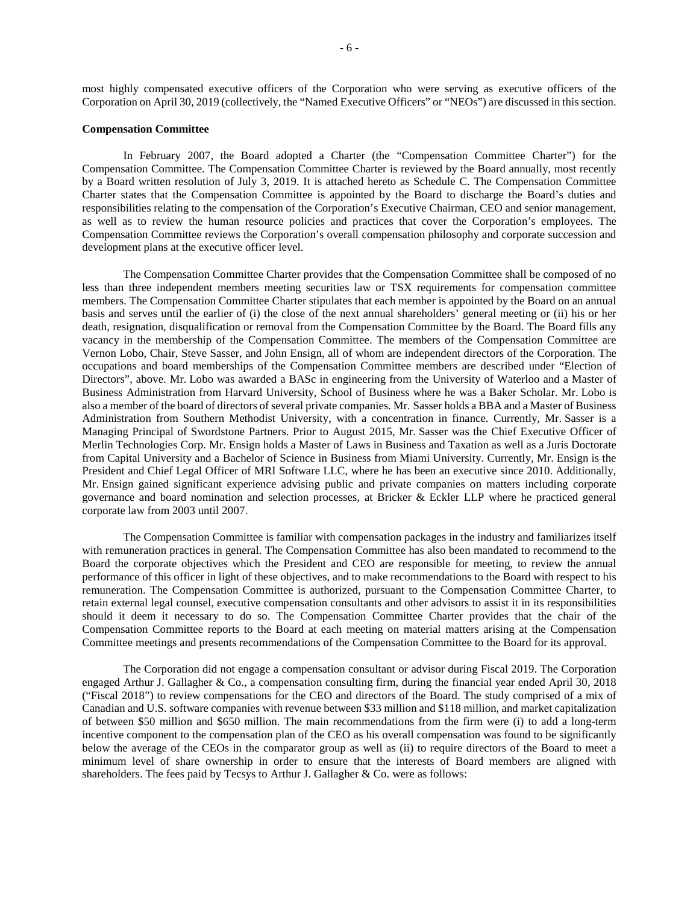most highly compensated executive officers of the Corporation who were serving as executive officers of the Corporation on April 30, 2019 (collectively, the "Named Executive Officers" or "NEOs") are discussed in this section.

### **Compensation Committee**

In February 2007, the Board adopted a Charter (the "Compensation Committee Charter") for the Compensation Committee. The Compensation Committee Charter is reviewed by the Board annually, most recently by a Board written resolution of July 3, 2019. It is attached hereto as Schedule C. The Compensation Committee Charter states that the Compensation Committee is appointed by the Board to discharge the Board's duties and responsibilities relating to the compensation of the Corporation's Executive Chairman, CEO and senior management, as well as to review the human resource policies and practices that cover the Corporation's employees. The Compensation Committee reviews the Corporation's overall compensation philosophy and corporate succession and development plans at the executive officer level.

The Compensation Committee Charter provides that the Compensation Committee shall be composed of no less than three independent members meeting securities law or TSX requirements for compensation committee members. The Compensation Committee Charter stipulates that each member is appointed by the Board on an annual basis and serves until the earlier of (i) the close of the next annual shareholders' general meeting or (ii) his or her death, resignation, disqualification or removal from the Compensation Committee by the Board. The Board fills any vacancy in the membership of the Compensation Committee. The members of the Compensation Committee are Vernon Lobo, Chair, Steve Sasser, and John Ensign, all of whom are independent directors of the Corporation. The occupations and board memberships of the Compensation Committee members are described under "Election of Directors", above. Mr. Lobo was awarded a BASc in engineering from the University of Waterloo and a Master of Business Administration from Harvard University, School of Business where he was a Baker Scholar. Mr. Lobo is also a member of the board of directors of several private companies. Mr. Sasser holds a BBA and a Master of Business Administration from Southern Methodist University, with a concentration in finance. Currently, Mr. Sasser is a Managing Principal of Swordstone Partners. Prior to August 2015, Mr. Sasser was the Chief Executive Officer of Merlin Technologies Corp. Mr. Ensign holds a Master of Laws in Business and Taxation as well as a Juris Doctorate from Capital University and a Bachelor of Science in Business from Miami University. Currently, Mr. Ensign is the President and Chief Legal Officer of MRI Software LLC, where he has been an executive since 2010. Additionally, Mr. Ensign gained significant experience advising public and private companies on matters including corporate governance and board nomination and selection processes, at Bricker & Eckler LLP where he practiced general corporate law from 2003 until 2007.

The Compensation Committee is familiar with compensation packages in the industry and familiarizes itself with remuneration practices in general. The Compensation Committee has also been mandated to recommend to the Board the corporate objectives which the President and CEO are responsible for meeting, to review the annual performance of this officer in light of these objectives, and to make recommendations to the Board with respect to his remuneration. The Compensation Committee is authorized, pursuant to the Compensation Committee Charter, to retain external legal counsel, executive compensation consultants and other advisors to assist it in its responsibilities should it deem it necessary to do so. The Compensation Committee Charter provides that the chair of the Compensation Committee reports to the Board at each meeting on material matters arising at the Compensation Committee meetings and presents recommendations of the Compensation Committee to the Board for its approval.

The Corporation did not engage a compensation consultant or advisor during Fiscal 2019. The Corporation engaged Arthur J. Gallagher & Co., a compensation consulting firm, during the financial year ended April 30, 2018 ("Fiscal 2018") to review compensations for the CEO and directors of the Board. The study comprised of a mix of Canadian and U.S. software companies with revenue between \$33 million and \$118 million, and market capitalization of between \$50 million and \$650 million. The main recommendations from the firm were (i) to add a long-term incentive component to the compensation plan of the CEO as his overall compensation was found to be significantly below the average of the CEOs in the comparator group as well as (ii) to require directors of the Board to meet a minimum level of share ownership in order to ensure that the interests of Board members are aligned with shareholders. The fees paid by Tecsys to Arthur J. Gallagher & Co. were as follows: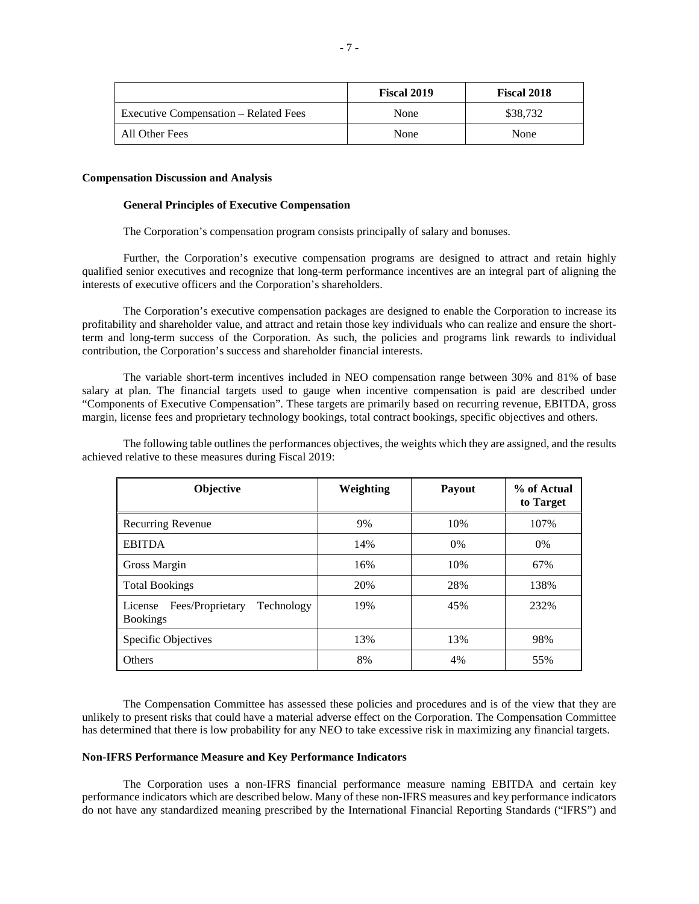|                                              | Fiscal 2019 | <b>Fiscal 2018</b> |
|----------------------------------------------|-------------|--------------------|
| <b>Executive Compensation – Related Fees</b> | None        | \$38,732           |
| All Other Fees                               | None        | None               |

### **Compensation Discussion and Analysis**

#### **General Principles of Executive Compensation**

The Corporation's compensation program consists principally of salary and bonuses.

Further, the Corporation's executive compensation programs are designed to attract and retain highly qualified senior executives and recognize that long-term performance incentives are an integral part of aligning the interests of executive officers and the Corporation's shareholders.

The Corporation's executive compensation packages are designed to enable the Corporation to increase its profitability and shareholder value, and attract and retain those key individuals who can realize and ensure the shortterm and long-term success of the Corporation. As such, the policies and programs link rewards to individual contribution, the Corporation's success and shareholder financial interests.

The variable short-term incentives included in NEO compensation range between 30% and 81% of base salary at plan. The financial targets used to gauge when incentive compensation is paid are described under "Components of Executive Compensation". These targets are primarily based on recurring revenue, EBITDA, gross margin, license fees and proprietary technology bookings, total contract bookings, specific objectives and others.

The following table outlines the performances objectives, the weights which they are assigned, and the results achieved relative to these measures during Fiscal 2019:

| Objective                                                    | Weighting | Payout | % of Actual<br>to Target |
|--------------------------------------------------------------|-----------|--------|--------------------------|
| <b>Recurring Revenue</b>                                     | 9%        | 10%    | 107%                     |
| <b>EBITDA</b>                                                | 14%       | $0\%$  | $0\%$                    |
| Gross Margin                                                 | 16%       | 10%    | 67%                      |
| <b>Total Bookings</b>                                        | 20%       | 28%    | 138%                     |
| Fees/Proprietary<br>Technology<br>License<br><b>Bookings</b> | 19%       | 45%    | 232%                     |
| <b>Specific Objectives</b>                                   | 13%       | 13%    | 98%                      |
| Others                                                       | 8%        | 4%     | 55%                      |

The Compensation Committee has assessed these policies and procedures and is of the view that they are unlikely to present risks that could have a material adverse effect on the Corporation. The Compensation Committee has determined that there is low probability for any NEO to take excessive risk in maximizing any financial targets.

## **Non-IFRS Performance Measure and Key Performance Indicators**

The Corporation uses a non-IFRS financial performance measure naming EBITDA and certain key performance indicators which are described below. Many of these non-IFRS measures and key performance indicators do not have any standardized meaning prescribed by the International Financial Reporting Standards ("IFRS") and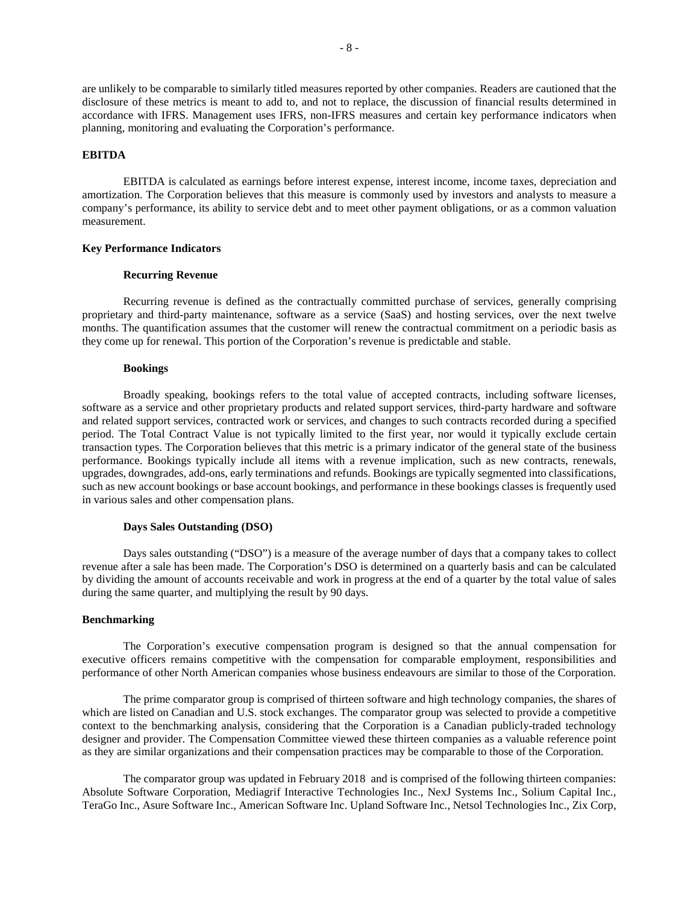are unlikely to be comparable to similarly titled measures reported by other companies. Readers are cautioned that the disclosure of these metrics is meant to add to, and not to replace, the discussion of financial results determined in accordance with IFRS. Management uses IFRS, non-IFRS measures and certain key performance indicators when planning, monitoring and evaluating the Corporation's performance.

# **EBITDA**

EBITDA is calculated as earnings before interest expense, interest income, income taxes, depreciation and amortization. The Corporation believes that this measure is commonly used by investors and analysts to measure a company's performance, its ability to service debt and to meet other payment obligations, or as a common valuation measurement.

#### **Key Performance Indicators**

# **Recurring Revenue**

Recurring revenue is defined as the contractually committed purchase of services, generally comprising proprietary and third-party maintenance, software as a service (SaaS) and hosting services, over the next twelve months. The quantification assumes that the customer will renew the contractual commitment on a periodic basis as they come up for renewal. This portion of the Corporation's revenue is predictable and stable.

#### **Bookings**

Broadly speaking, bookings refers to the total value of accepted contracts, including software licenses, software as a service and other proprietary products and related support services, third-party hardware and software and related support services, contracted work or services, and changes to such contracts recorded during a specified period. The Total Contract Value is not typically limited to the first year, nor would it typically exclude certain transaction types. The Corporation believes that this metric is a primary indicator of the general state of the business performance. Bookings typically include all items with a revenue implication, such as new contracts, renewals, upgrades, downgrades, add-ons, early terminations and refunds. Bookings are typically segmented into classifications, such as new account bookings or base account bookings, and performance in these bookings classes is frequently used in various sales and other compensation plans.

# **Days Sales Outstanding (DSO)**

Days sales outstanding ("DSO") is a measure of the average number of days that a company takes to collect revenue after a sale has been made. The Corporation's DSO is determined on a quarterly basis and can be calculated by dividing the amount of accounts receivable and work in progress at the end of a quarter by the total value of sales during the same quarter, and multiplying the result by 90 days.

### **Benchmarking**

The Corporation's executive compensation program is designed so that the annual compensation for executive officers remains competitive with the compensation for comparable employment, responsibilities and performance of other North American companies whose business endeavours are similar to those of the Corporation.

The prime comparator group is comprised of thirteen software and high technology companies, the shares of which are listed on Canadian and U.S. stock exchanges. The comparator group was selected to provide a competitive context to the benchmarking analysis, considering that the Corporation is a Canadian publicly-traded technology designer and provider. The Compensation Committee viewed these thirteen companies as a valuable reference point as they are similar organizations and their compensation practices may be comparable to those of the Corporation.

The comparator group was updated in February 2018 and is comprised of the following thirteen companies: Absolute Software Corporation, Mediagrif Interactive Technologies Inc., NexJ Systems Inc., Solium Capital Inc., TeraGo Inc., Asure Software Inc., American Software Inc. Upland Software Inc., Netsol Technologies Inc., Zix Corp,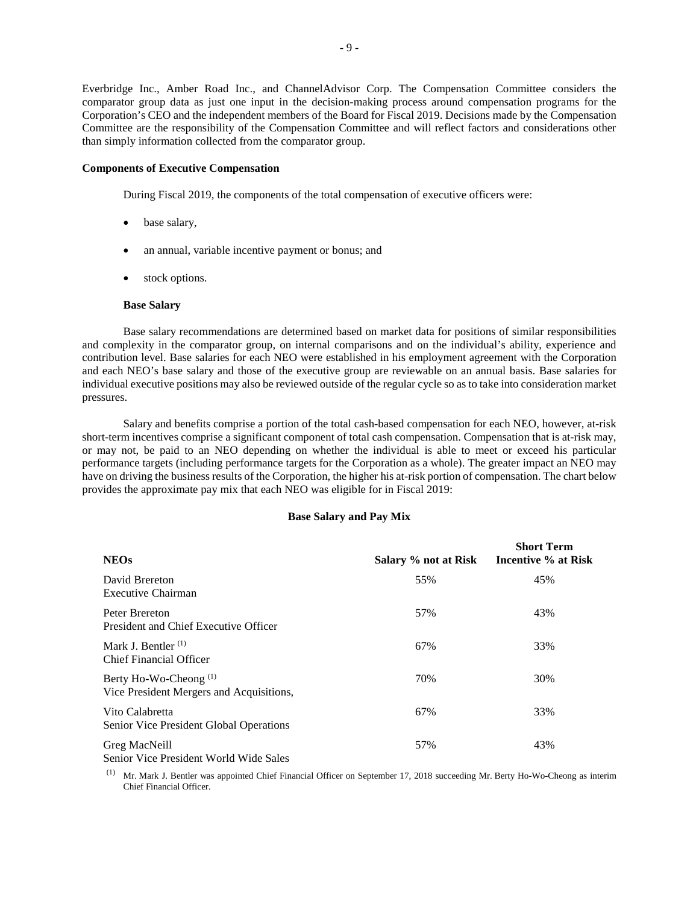Everbridge Inc., Amber Road Inc., and ChannelAdvisor Corp. The Compensation Committee considers the comparator group data as just one input in the decision-making process around compensation programs for the Corporation's CEO and the independent members of the Board for Fiscal 2019. Decisions made by the Compensation Committee are the responsibility of the Compensation Committee and will reflect factors and considerations other than simply information collected from the comparator group.

# **Components of Executive Compensation**

During Fiscal 2019, the components of the total compensation of executive officers were:

- base salary,
- an annual, variable incentive payment or bonus; and
- stock options.

### **Base Salary**

Base salary recommendations are determined based on market data for positions of similar responsibilities and complexity in the comparator group, on internal comparisons and on the individual's ability, experience and contribution level. Base salaries for each NEO were established in his employment agreement with the Corporation and each NEO's base salary and those of the executive group are reviewable on an annual basis. Base salaries for individual executive positions may also be reviewed outside of the regular cycle so as to take into consideration market pressures.

Salary and benefits comprise a portion of the total cash-based compensation for each NEO, however, at-risk short-term incentives comprise a significant component of total cash compensation. Compensation that is at-risk may, or may not, be paid to an NEO depending on whether the individual is able to meet or exceed his particular performance targets (including performance targets for the Corporation as a whole). The greater impact an NEO may have on driving the business results of the Corporation, the higher his at-risk portion of compensation. The chart below provides the approximate pay mix that each NEO was eligible for in Fiscal 2019:

#### **Base Salary and Pay Mix**

| <b>NEOs</b>                                                                   | Salary % not at Risk | <b>Short Term</b><br>Incentive % at Risk |
|-------------------------------------------------------------------------------|----------------------|------------------------------------------|
| David Brereton<br>Executive Chairman                                          | 55%                  | 45%                                      |
| Peter Brereton<br>President and Chief Executive Officer                       | 57%                  | 43%                                      |
| Mark J. Bentler $^{(1)}$<br><b>Chief Financial Officer</b>                    | 67%                  | 33%                                      |
| Berty Ho-Wo-Cheong <sup>(1)</sup><br>Vice President Mergers and Acquisitions, | 70%                  | 30%                                      |
| Vito Calabretta<br>Senior Vice President Global Operations                    | 67%                  | 33%                                      |
| Greg MacNeill<br>Senior Vice President World Wide Sales                       | 57%                  | 43%                                      |

(1) Mr. Mark J. Bentler was appointed Chief Financial Officer on September 17, 2018 succeeding Mr. Berty Ho-Wo-Cheong as interim Chief Financial Officer.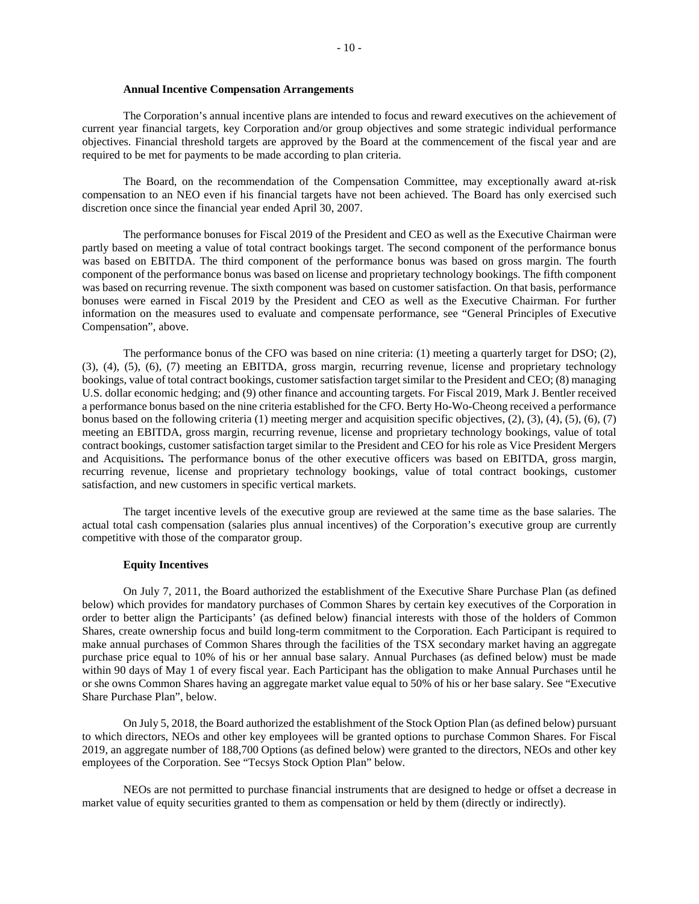### **Annual Incentive Compensation Arrangements**

The Corporation's annual incentive plans are intended to focus and reward executives on the achievement of current year financial targets, key Corporation and/or group objectives and some strategic individual performance objectives. Financial threshold targets are approved by the Board at the commencement of the fiscal year and are required to be met for payments to be made according to plan criteria.

The Board, on the recommendation of the Compensation Committee, may exceptionally award at-risk compensation to an NEO even if his financial targets have not been achieved. The Board has only exercised such discretion once since the financial year ended April 30, 2007.

The performance bonuses for Fiscal 2019 of the President and CEO as well as the Executive Chairman were partly based on meeting a value of total contract bookings target. The second component of the performance bonus was based on EBITDA. The third component of the performance bonus was based on gross margin. The fourth component of the performance bonus was based on license and proprietary technology bookings. The fifth component was based on recurring revenue. The sixth component was based on customer satisfaction. On that basis, performance bonuses were earned in Fiscal 2019 by the President and CEO as well as the Executive Chairman. For further information on the measures used to evaluate and compensate performance, see "General Principles of Executive Compensation", above.

The performance bonus of the CFO was based on nine criteria: (1) meeting a quarterly target for DSO; (2), (3), (4), (5), (6), (7) meeting an EBITDA, gross margin, recurring revenue, license and proprietary technology bookings, value of total contract bookings, customer satisfaction target similar to the President and CEO; (8) managing U.S. dollar economic hedging; and (9) other finance and accounting targets. For Fiscal 2019, Mark J. Bentler received a performance bonus based on the nine criteria established for the CFO. Berty Ho-Wo-Cheong received a performance bonus based on the following criteria  $(1)$  meeting merger and acquisition specific objectives,  $(2)$ ,  $(3)$ ,  $(4)$ ,  $(5)$ ,  $(6)$ ,  $(7)$ meeting an EBITDA, gross margin, recurring revenue, license and proprietary technology bookings, value of total contract bookings, customer satisfaction target similar to the President and CEO for his role as Vice President Mergers and Acquisitions**.** The performance bonus of the other executive officers was based on EBITDA, gross margin, recurring revenue, license and proprietary technology bookings, value of total contract bookings, customer satisfaction, and new customers in specific vertical markets.

The target incentive levels of the executive group are reviewed at the same time as the base salaries. The actual total cash compensation (salaries plus annual incentives) of the Corporation's executive group are currently competitive with those of the comparator group.

# **Equity Incentives**

On July 7, 2011, the Board authorized the establishment of the Executive Share Purchase Plan (as defined below) which provides for mandatory purchases of Common Shares by certain key executives of the Corporation in order to better align the Participants' (as defined below) financial interests with those of the holders of Common Shares, create ownership focus and build long-term commitment to the Corporation. Each Participant is required to make annual purchases of Common Shares through the facilities of the TSX secondary market having an aggregate purchase price equal to 10% of his or her annual base salary. Annual Purchases (as defined below) must be made within 90 days of May 1 of every fiscal year. Each Participant has the obligation to make Annual Purchases until he or she owns Common Shares having an aggregate market value equal to 50% of his or her base salary. See "Executive Share Purchase Plan", below.

On July 5, 2018, the Board authorized the establishment of the Stock Option Plan (as defined below) pursuant to which directors, NEOs and other key employees will be granted options to purchase Common Shares. For Fiscal 2019, an aggregate number of 188,700 Options (as defined below) were granted to the directors, NEOs and other key employees of the Corporation. See "Tecsys Stock Option Plan" below.

NEOs are not permitted to purchase financial instruments that are designed to hedge or offset a decrease in market value of equity securities granted to them as compensation or held by them (directly or indirectly).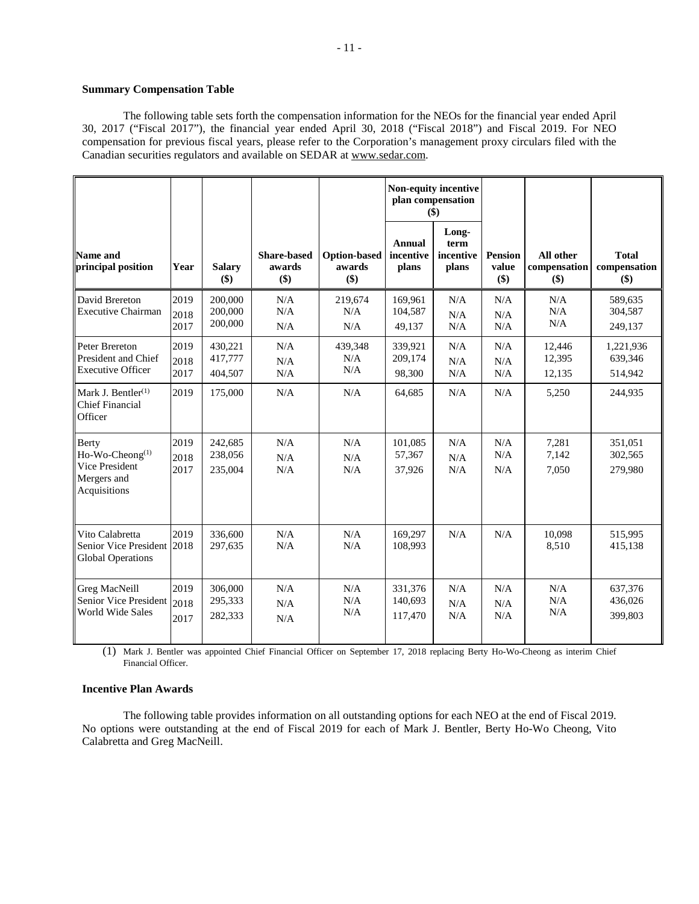# **Summary Compensation Table**

The following table sets forth the compensation information for the NEOs for the financial year ended April 30, 2017 ("Fiscal 2017"), the financial year ended April 30, 2018 ("Fiscal 2018") and Fiscal 2019. For NEO compensation for previous fiscal years, please refer to the Corporation's management proxy circulars filed with the Canadian securities regulators and available on SEDAR at www.sedar.com.

|                                                                                       |                      |                               |                                     | Non-equity incentive<br>plan compensation<br>\$) |                                     |                                     |                                    |                                  |                                         |
|---------------------------------------------------------------------------------------|----------------------|-------------------------------|-------------------------------------|--------------------------------------------------|-------------------------------------|-------------------------------------|------------------------------------|----------------------------------|-----------------------------------------|
| Name and<br>principal position                                                        | Year                 | <b>Salary</b><br>\$)          | <b>Share-based</b><br>awards<br>\$) | <b>Option-based</b><br>awards<br>\$)             | <b>Annual</b><br>incentive<br>plans | Long-<br>term<br>incentive<br>plans | <b>Pension</b><br>value<br>$($ \$) | All other<br>compensation<br>\$) | <b>Total</b><br>compensation<br>$($ \$) |
| David Brereton<br><b>Executive Chairman</b>                                           | 2019<br>2018<br>2017 | 200,000<br>200,000<br>200,000 | N/A<br>N/A<br>N/A                   | 219,674<br>N/A<br>N/A                            | 169,961<br>104,587<br>49,137        | N/A<br>N/A<br>N/A                   | N/A<br>N/A<br>N/A                  | N/A<br>N/A<br>N/A                | 589.635<br>304,587<br>249,137           |
| Peter Brereton<br>President and Chief<br><b>Executive Officer</b>                     | 2019<br>2018<br>2017 | 430,221<br>417,777<br>404,507 | N/A<br>N/A<br>N/A                   | 439,348<br>N/A<br>N/A                            | 339,921<br>209,174<br>98,300        | N/A<br>N/A<br>N/A                   | N/A<br>N/A<br>N/A                  | 12,446<br>12,395<br>12,135       | 1,221,936<br>639,346<br>514,942         |
| Mark J. Bentler <sup>(1)</sup><br><b>Chief Financial</b><br>Officer                   | 2019                 | 175,000                       | N/A                                 | N/A                                              | 64,685                              | N/A                                 | N/A                                | 5,250                            | 244,935                                 |
| Berty<br>Ho-Wo-Cheong <sup>(1)</sup><br>Vice President<br>Mergers and<br>Acquisitions | 2019<br>2018<br>2017 | 242,685<br>238,056<br>235,004 | N/A<br>N/A<br>N/A                   | N/A<br>N/A<br>N/A                                | 101,085<br>57,367<br>37,926         | N/A<br>N/A<br>N/A                   | N/A<br>N/A<br>N/A                  | 7,281<br>7,142<br>7,050          | 351,051<br>302,565<br>279,980           |
| Vito Calabretta<br>Senior Vice President 2018<br><b>Global Operations</b>             | 2019                 | 336,600<br>297,635            | N/A<br>N/A                          | N/A<br>N/A                                       | 169,297<br>108,993                  | N/A                                 | N/A                                | 10.098<br>8,510                  | 515,995<br>415,138                      |
| Greg MacNeill<br>Senior Vice President<br>World Wide Sales                            | 2019<br>2018<br>2017 | 306,000<br>295,333<br>282,333 | N/A<br>N/A<br>N/A                   | N/A<br>N/A<br>N/A                                | 331,376<br>140,693<br>117,470       | N/A<br>N/A<br>N/A                   | N/A<br>N/A<br>N/A                  | N/A<br>N/A<br>N/A                | 637,376<br>436,026<br>399,803           |

(1) Mark J. Bentler was appointed Chief Financial Officer on September 17, 2018 replacing Berty Ho-Wo-Cheong as interim Chief Financial Officer.

# **Incentive Plan Awards**

The following table provides information on all outstanding options for each NEO at the end of Fiscal 2019. No options were outstanding at the end of Fiscal 2019 for each of Mark J. Bentler, Berty Ho-Wo Cheong, Vito Calabretta and Greg MacNeill.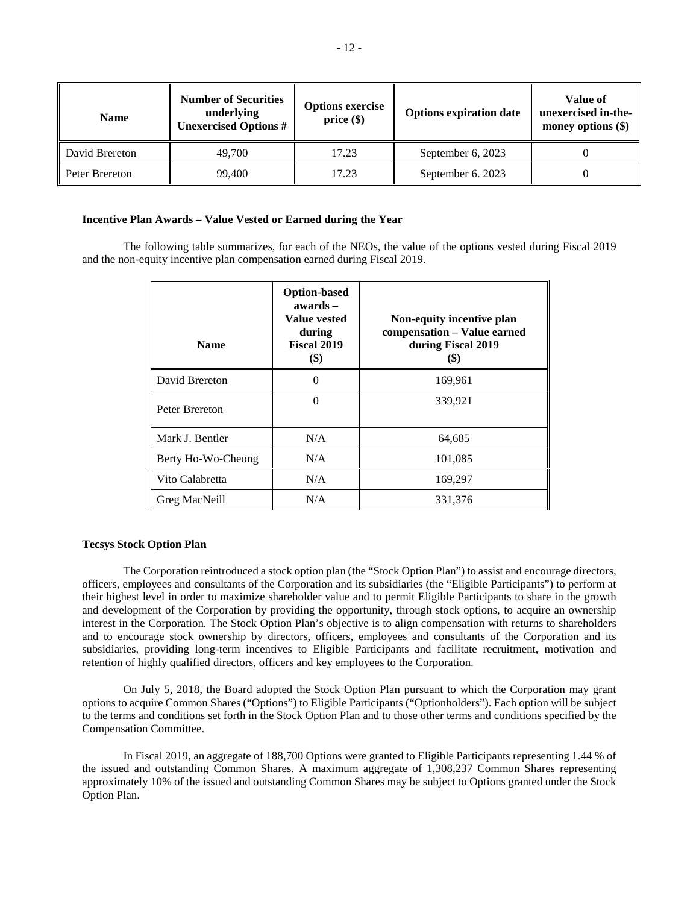| <b>Name</b>    | <b>Number of Securities</b><br>underlying<br><b>Unexercised Options #</b> | <b>Options exercise</b><br>price(\$) | <b>Options expiration date</b> | Value of<br>unexercised in-the-<br>money options $(\$)$ |
|----------------|---------------------------------------------------------------------------|--------------------------------------|--------------------------------|---------------------------------------------------------|
| David Brereton | 49,700                                                                    | 17.23                                | September 6, 2023              |                                                         |
| Peter Brereton | 99.400                                                                    | 17.23                                | September 6. 2023              |                                                         |

## **Incentive Plan Awards – Value Vested or Earned during the Year**

The following table summarizes, for each of the NEOs, the value of the options vested during Fiscal 2019 and the non-equity incentive plan compensation earned during Fiscal 2019.

| <b>Name</b>        | <b>Option-based</b><br>$awards -$<br>Value vested<br>during<br>Fiscal 2019<br>$(\$)$ | Non-equity incentive plan<br>compensation - Value earned<br>during Fiscal 2019<br>(\$) |
|--------------------|--------------------------------------------------------------------------------------|----------------------------------------------------------------------------------------|
| David Brereton     | 0                                                                                    | 169,961                                                                                |
| Peter Brereton     | $\Omega$                                                                             | 339,921                                                                                |
| Mark J. Bentler    | N/A                                                                                  | 64,685                                                                                 |
| Berty Ho-Wo-Cheong | N/A                                                                                  | 101,085                                                                                |
| Vito Calabretta    | N/A                                                                                  | 169,297                                                                                |
| Greg MacNeill      | N/A                                                                                  | 331,376                                                                                |

## **Tecsys Stock Option Plan**

The Corporation reintroduced a stock option plan (the "Stock Option Plan") to assist and encourage directors, officers, employees and consultants of the Corporation and its subsidiaries (the "Eligible Participants") to perform at their highest level in order to maximize shareholder value and to permit Eligible Participants to share in the growth and development of the Corporation by providing the opportunity, through stock options, to acquire an ownership interest in the Corporation. The Stock Option Plan's objective is to align compensation with returns to shareholders and to encourage stock ownership by directors, officers, employees and consultants of the Corporation and its subsidiaries, providing long-term incentives to Eligible Participants and facilitate recruitment, motivation and retention of highly qualified directors, officers and key employees to the Corporation.

On July 5, 2018, the Board adopted the Stock Option Plan pursuant to which the Corporation may grant options to acquire Common Shares ("Options") to Eligible Participants ("Optionholders"). Each option will be subject to the terms and conditions set forth in the Stock Option Plan and to those other terms and conditions specified by the Compensation Committee.

In Fiscal 2019, an aggregate of 188,700 Options were granted to Eligible Participants representing 1.44 % of the issued and outstanding Common Shares. A maximum aggregate of 1,308,237 Common Shares representing approximately 10% of the issued and outstanding Common Shares may be subject to Options granted under the Stock Option Plan.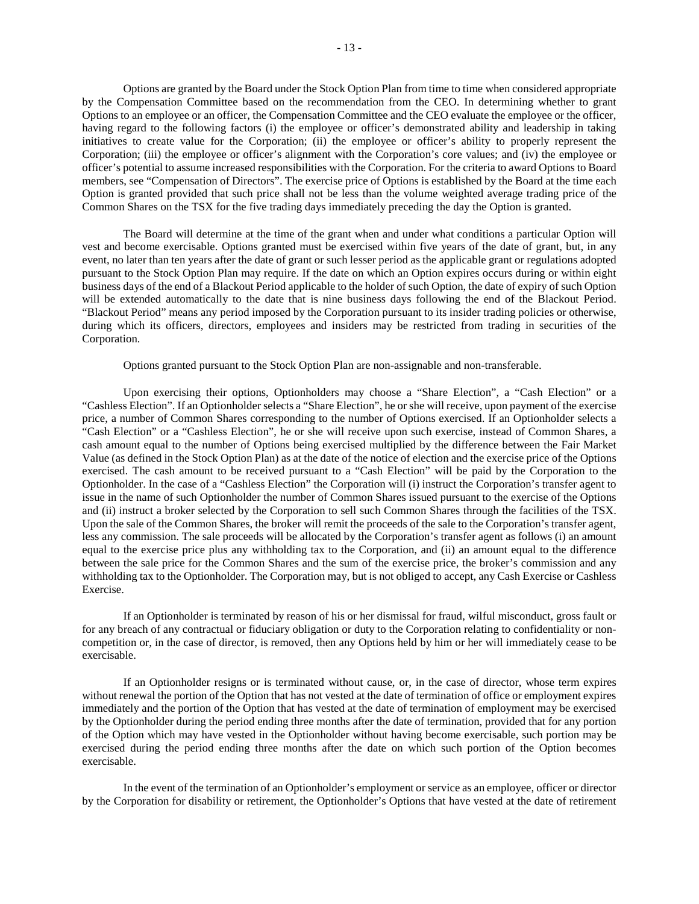Options are granted by the Board under the Stock Option Plan from time to time when considered appropriate by the Compensation Committee based on the recommendation from the CEO. In determining whether to grant Options to an employee or an officer, the Compensation Committee and the CEO evaluate the employee or the officer, having regard to the following factors (i) the employee or officer's demonstrated ability and leadership in taking initiatives to create value for the Corporation; (ii) the employee or officer's ability to properly represent the Corporation; (iii) the employee or officer's alignment with the Corporation's core values; and (iv) the employee or officer's potential to assume increased responsibilities with the Corporation. For the criteria to award Options to Board members, see "Compensation of Directors". The exercise price of Options is established by the Board at the time each Option is granted provided that such price shall not be less than the volume weighted average trading price of the Common Shares on the TSX for the five trading days immediately preceding the day the Option is granted.

The Board will determine at the time of the grant when and under what conditions a particular Option will vest and become exercisable. Options granted must be exercised within five years of the date of grant, but, in any event, no later than ten years after the date of grant or such lesser period as the applicable grant or regulations adopted pursuant to the Stock Option Plan may require. If the date on which an Option expires occurs during or within eight business days of the end of a Blackout Period applicable to the holder of such Option, the date of expiry of such Option will be extended automatically to the date that is nine business days following the end of the Blackout Period. "Blackout Period" means any period imposed by the Corporation pursuant to its insider trading policies or otherwise, during which its officers, directors, employees and insiders may be restricted from trading in securities of the Corporation.

Options granted pursuant to the Stock Option Plan are non-assignable and non-transferable.

Upon exercising their options, Optionholders may choose a "Share Election", a "Cash Election" or a "Cashless Election". If an Optionholder selects a "Share Election", he or she will receive, upon payment of the exercise price, a number of Common Shares corresponding to the number of Options exercised. If an Optionholder selects a "Cash Election" or a "Cashless Election", he or she will receive upon such exercise, instead of Common Shares, a cash amount equal to the number of Options being exercised multiplied by the difference between the Fair Market Value (as defined in the Stock Option Plan) as at the date of the notice of election and the exercise price of the Options exercised. The cash amount to be received pursuant to a "Cash Election" will be paid by the Corporation to the Optionholder. In the case of a "Cashless Election" the Corporation will (i) instruct the Corporation's transfer agent to issue in the name of such Optionholder the number of Common Shares issued pursuant to the exercise of the Options and (ii) instruct a broker selected by the Corporation to sell such Common Shares through the facilities of the TSX. Upon the sale of the Common Shares, the broker will remit the proceeds of the sale to the Corporation's transfer agent, less any commission. The sale proceeds will be allocated by the Corporation's transfer agent as follows (i) an amount equal to the exercise price plus any withholding tax to the Corporation, and (ii) an amount equal to the difference between the sale price for the Common Shares and the sum of the exercise price, the broker's commission and any withholding tax to the Optionholder. The Corporation may, but is not obliged to accept, any Cash Exercise or Cashless Exercise.

If an Optionholder is terminated by reason of his or her dismissal for fraud, wilful misconduct, gross fault or for any breach of any contractual or fiduciary obligation or duty to the Corporation relating to confidentiality or noncompetition or, in the case of director, is removed, then any Options held by him or her will immediately cease to be exercisable.

If an Optionholder resigns or is terminated without cause, or, in the case of director, whose term expires without renewal the portion of the Option that has not vested at the date of termination of office or employment expires immediately and the portion of the Option that has vested at the date of termination of employment may be exercised by the Optionholder during the period ending three months after the date of termination, provided that for any portion of the Option which may have vested in the Optionholder without having become exercisable, such portion may be exercised during the period ending three months after the date on which such portion of the Option becomes exercisable.

In the event of the termination of an Optionholder's employment or service as an employee, officer or director by the Corporation for disability or retirement, the Optionholder's Options that have vested at the date of retirement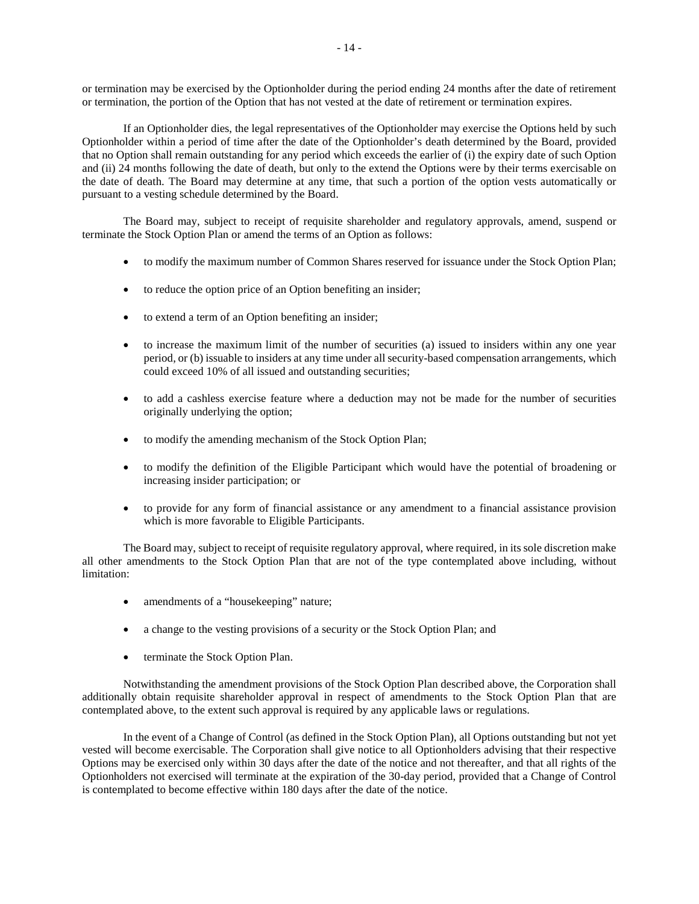or termination may be exercised by the Optionholder during the period ending 24 months after the date of retirement or termination, the portion of the Option that has not vested at the date of retirement or termination expires.

If an Optionholder dies, the legal representatives of the Optionholder may exercise the Options held by such Optionholder within a period of time after the date of the Optionholder's death determined by the Board, provided that no Option shall remain outstanding for any period which exceeds the earlier of (i) the expiry date of such Option and (ii) 24 months following the date of death, but only to the extend the Options were by their terms exercisable on the date of death. The Board may determine at any time, that such a portion of the option vests automatically or pursuant to a vesting schedule determined by the Board.

The Board may, subject to receipt of requisite shareholder and regulatory approvals, amend, suspend or terminate the Stock Option Plan or amend the terms of an Option as follows:

- to modify the maximum number of Common Shares reserved for issuance under the Stock Option Plan;
- to reduce the option price of an Option benefiting an insider;
- to extend a term of an Option benefiting an insider;
- to increase the maximum limit of the number of securities (a) issued to insiders within any one year period, or (b) issuable to insiders at any time under all security-based compensation arrangements, which could exceed 10% of all issued and outstanding securities;
- to add a cashless exercise feature where a deduction may not be made for the number of securities originally underlying the option;
- to modify the amending mechanism of the Stock Option Plan;
- to modify the definition of the Eligible Participant which would have the potential of broadening or increasing insider participation; or
- to provide for any form of financial assistance or any amendment to a financial assistance provision which is more favorable to Eligible Participants.

The Board may, subject to receipt of requisite regulatory approval, where required, in its sole discretion make all other amendments to the Stock Option Plan that are not of the type contemplated above including, without limitation:

- amendments of a "housekeeping" nature;
- a change to the vesting provisions of a security or the Stock Option Plan; and
- terminate the Stock Option Plan.

Notwithstanding the amendment provisions of the Stock Option Plan described above, the Corporation shall additionally obtain requisite shareholder approval in respect of amendments to the Stock Option Plan that are contemplated above, to the extent such approval is required by any applicable laws or regulations.

In the event of a Change of Control (as defined in the Stock Option Plan), all Options outstanding but not yet vested will become exercisable. The Corporation shall give notice to all Optionholders advising that their respective Options may be exercised only within 30 days after the date of the notice and not thereafter, and that all rights of the Optionholders not exercised will terminate at the expiration of the 30-day period, provided that a Change of Control is contemplated to become effective within 180 days after the date of the notice.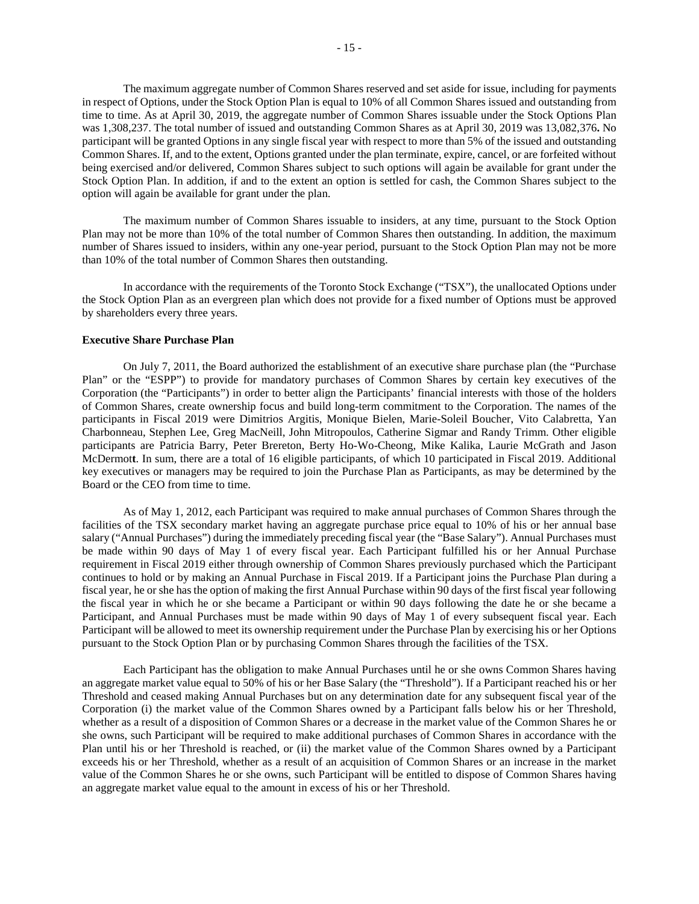The maximum aggregate number of Common Shares reserved and set aside for issue, including for payments in respect of Options, under the Stock Option Plan is equal to 10% of all Common Shares issued and outstanding from time to time. As at April 30, 2019, the aggregate number of Common Shares issuable under the Stock Options Plan was 1,308,237. The total number of issued and outstanding Common Shares as at April 30, 2019 was 13,082,376**.** No participant will be granted Options in any single fiscal year with respect to more than 5% of the issued and outstanding Common Shares. If, and to the extent, Options granted under the plan terminate, expire, cancel, or are forfeited without being exercised and/or delivered, Common Shares subject to such options will again be available for grant under the Stock Option Plan. In addition, if and to the extent an option is settled for cash, the Common Shares subject to the option will again be available for grant under the plan.

The maximum number of Common Shares issuable to insiders, at any time, pursuant to the Stock Option Plan may not be more than 10% of the total number of Common Shares then outstanding. In addition, the maximum number of Shares issued to insiders, within any one-year period, pursuant to the Stock Option Plan may not be more than 10% of the total number of Common Shares then outstanding.

In accordance with the requirements of the Toronto Stock Exchange ("TSX"), the unallocated Options under the Stock Option Plan as an evergreen plan which does not provide for a fixed number of Options must be approved by shareholders every three years.

#### **Executive Share Purchase Plan**

On July 7, 2011, the Board authorized the establishment of an executive share purchase plan (the "Purchase Plan" or the "ESPP") to provide for mandatory purchases of Common Shares by certain key executives of the Corporation (the "Participants") in order to better align the Participants' financial interests with those of the holders of Common Shares, create ownership focus and build long-term commitment to the Corporation. The names of the participants in Fiscal 2019 were Dimitrios Argitis, Monique Bielen, Marie-Soleil Boucher, Vito Calabretta, Yan Charbonneau, Stephen Lee, Greg MacNeill, John Mitropoulos, Catherine Sigmar and Randy Trimm. Other eligible participants are Patricia Barry, Peter Brereton, Berty Ho-Wo-Cheong, Mike Kalika, Laurie McGrath and Jason McDermot**t**. In sum, there are a total of 16 eligible participants, of which 10 participated in Fiscal 2019. Additional key executives or managers may be required to join the Purchase Plan as Participants, as may be determined by the Board or the CEO from time to time.

As of May 1, 2012, each Participant was required to make annual purchases of Common Shares through the facilities of the TSX secondary market having an aggregate purchase price equal to 10% of his or her annual base salary ("Annual Purchases") during the immediately preceding fiscal year (the "Base Salary"). Annual Purchases must be made within 90 days of May 1 of every fiscal year. Each Participant fulfilled his or her Annual Purchase requirement in Fiscal 2019 either through ownership of Common Shares previously purchased which the Participant continues to hold or by making an Annual Purchase in Fiscal 2019. If a Participant joins the Purchase Plan during a fiscal year, he or she has the option of making the first Annual Purchase within 90 days of the first fiscal year following the fiscal year in which he or she became a Participant or within 90 days following the date he or she became a Participant, and Annual Purchases must be made within 90 days of May 1 of every subsequent fiscal year. Each Participant will be allowed to meet its ownership requirement under the Purchase Plan by exercising his or her Options pursuant to the Stock Option Plan or by purchasing Common Shares through the facilities of the TSX.

Each Participant has the obligation to make Annual Purchases until he or she owns Common Shares having an aggregate market value equal to 50% of his or her Base Salary (the "Threshold"). If a Participant reached his or her Threshold and ceased making Annual Purchases but on any determination date for any subsequent fiscal year of the Corporation (i) the market value of the Common Shares owned by a Participant falls below his or her Threshold, whether as a result of a disposition of Common Shares or a decrease in the market value of the Common Shares he or she owns, such Participant will be required to make additional purchases of Common Shares in accordance with the Plan until his or her Threshold is reached, or (ii) the market value of the Common Shares owned by a Participant exceeds his or her Threshold, whether as a result of an acquisition of Common Shares or an increase in the market value of the Common Shares he or she owns, such Participant will be entitled to dispose of Common Shares having an aggregate market value equal to the amount in excess of his or her Threshold.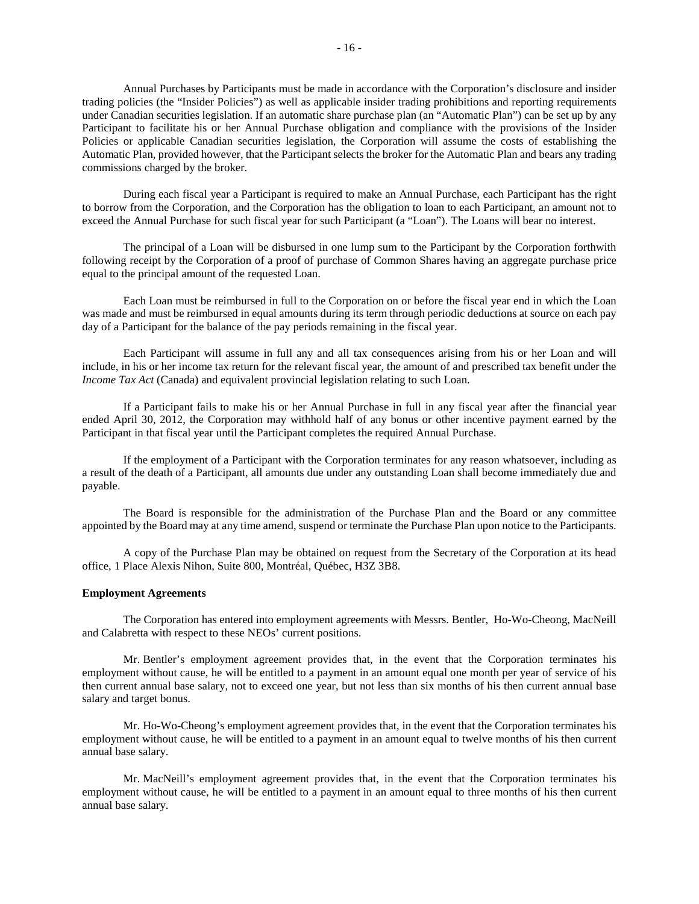Annual Purchases by Participants must be made in accordance with the Corporation's disclosure and insider trading policies (the "Insider Policies") as well as applicable insider trading prohibitions and reporting requirements under Canadian securities legislation. If an automatic share purchase plan (an "Automatic Plan") can be set up by any Participant to facilitate his or her Annual Purchase obligation and compliance with the provisions of the Insider Policies or applicable Canadian securities legislation, the Corporation will assume the costs of establishing the Automatic Plan, provided however, that the Participant selects the broker for the Automatic Plan and bears any trading commissions charged by the broker.

During each fiscal year a Participant is required to make an Annual Purchase, each Participant has the right to borrow from the Corporation, and the Corporation has the obligation to loan to each Participant, an amount not to exceed the Annual Purchase for such fiscal year for such Participant (a "Loan"). The Loans will bear no interest.

The principal of a Loan will be disbursed in one lump sum to the Participant by the Corporation forthwith following receipt by the Corporation of a proof of purchase of Common Shares having an aggregate purchase price equal to the principal amount of the requested Loan.

Each Loan must be reimbursed in full to the Corporation on or before the fiscal year end in which the Loan was made and must be reimbursed in equal amounts during its term through periodic deductions at source on each pay day of a Participant for the balance of the pay periods remaining in the fiscal year.

Each Participant will assume in full any and all tax consequences arising from his or her Loan and will include, in his or her income tax return for the relevant fiscal year, the amount of and prescribed tax benefit under the *Income Tax Act* (Canada) and equivalent provincial legislation relating to such Loan.

If a Participant fails to make his or her Annual Purchase in full in any fiscal year after the financial year ended April 30, 2012, the Corporation may withhold half of any bonus or other incentive payment earned by the Participant in that fiscal year until the Participant completes the required Annual Purchase.

If the employment of a Participant with the Corporation terminates for any reason whatsoever, including as a result of the death of a Participant, all amounts due under any outstanding Loan shall become immediately due and payable.

The Board is responsible for the administration of the Purchase Plan and the Board or any committee appointed by the Board may at any time amend, suspend or terminate the Purchase Plan upon notice to the Participants.

A copy of the Purchase Plan may be obtained on request from the Secretary of the Corporation at its head office, 1 Place Alexis Nihon, Suite 800, Montréal, Québec, H3Z 3B8.

### **Employment Agreements**

The Corporation has entered into employment agreements with Messrs. Bentler, Ho-Wo-Cheong, MacNeill and Calabretta with respect to these NEOs' current positions.

Mr. Bentler's employment agreement provides that, in the event that the Corporation terminates his employment without cause, he will be entitled to a payment in an amount equal one month per year of service of his then current annual base salary, not to exceed one year, but not less than six months of his then current annual base salary and target bonus.

Mr. Ho-Wo-Cheong's employment agreement provides that, in the event that the Corporation terminates his employment without cause, he will be entitled to a payment in an amount equal to twelve months of his then current annual base salary.

Mr. MacNeill's employment agreement provides that, in the event that the Corporation terminates his employment without cause, he will be entitled to a payment in an amount equal to three months of his then current annual base salary.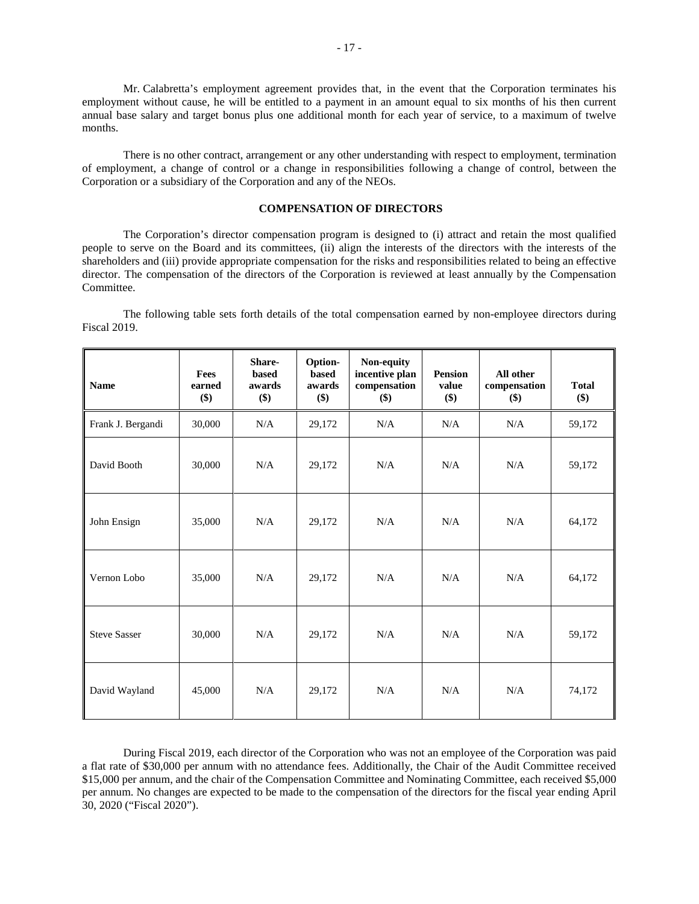Mr. Calabretta's employment agreement provides that, in the event that the Corporation terminates his employment without cause, he will be entitled to a payment in an amount equal to six months of his then current annual base salary and target bonus plus one additional month for each year of service, to a maximum of twelve months.

There is no other contract, arrangement or any other understanding with respect to employment, termination of employment, a change of control or a change in responsibilities following a change of control, between the Corporation or a subsidiary of the Corporation and any of the NEOs.

## **COMPENSATION OF DIRECTORS**

The Corporation's director compensation program is designed to (i) attract and retain the most qualified people to serve on the Board and its committees, (ii) align the interests of the directors with the interests of the shareholders and (iii) provide appropriate compensation for the risks and responsibilities related to being an effective director. The compensation of the directors of the Corporation is reviewed at least annually by the Compensation Committee.

The following table sets forth details of the total compensation earned by non-employee directors during Fiscal 2019.

| <b>Name</b>         | <b>Fees</b><br>earned<br>\$) | Share-<br><b>based</b><br>awards<br>\$) | Option-<br>based<br>awards<br>\$) | Non-equity<br>incentive plan<br>compensation<br>\$) | <b>Pension</b><br>value<br>\$) | All other<br>compensation<br>\$) | <b>Total</b><br>\$) |
|---------------------|------------------------------|-----------------------------------------|-----------------------------------|-----------------------------------------------------|--------------------------------|----------------------------------|---------------------|
| Frank J. Bergandi   | 30,000                       | N/A                                     | 29,172                            | N/A                                                 | N/A                            | N/A                              | 59,172              |
| David Booth         | 30,000                       | N/A                                     | 29,172                            | N/A                                                 | N/A                            | N/A                              | 59,172              |
| John Ensign         | 35,000                       | N/A                                     | 29,172                            | N/A                                                 | N/A                            | N/A                              | 64,172              |
| Vernon Lobo         | 35,000                       | N/A                                     | 29,172                            | N/A                                                 | N/A                            | N/A                              | 64,172              |
| <b>Steve Sasser</b> | 30,000                       | N/A                                     | 29,172                            | N/A                                                 | N/A                            | N/A                              | 59,172              |
| David Wayland       | 45,000                       | N/A                                     | 29,172                            | N/A                                                 | N/A                            | N/A                              | 74,172              |

During Fiscal 2019, each director of the Corporation who was not an employee of the Corporation was paid a flat rate of \$30,000 per annum with no attendance fees. Additionally, the Chair of the Audit Committee received \$15,000 per annum, and the chair of the Compensation Committee and Nominating Committee, each received \$5,000 per annum. No changes are expected to be made to the compensation of the directors for the fiscal year ending April 30, 2020 ("Fiscal 2020").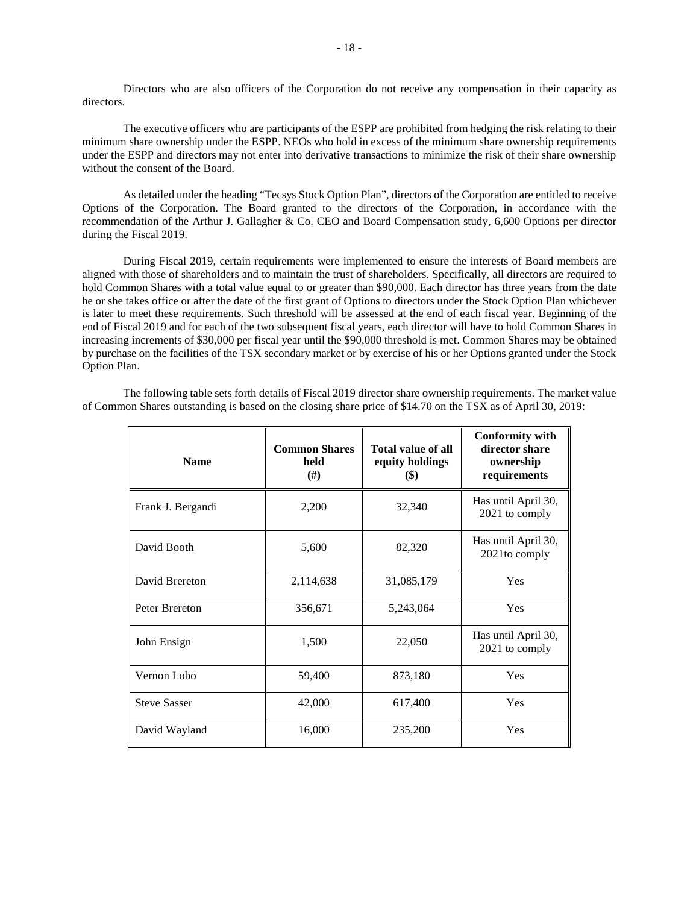Directors who are also officers of the Corporation do not receive any compensation in their capacity as directors.

The executive officers who are participants of the ESPP are prohibited from hedging the risk relating to their minimum share ownership under the ESPP. NEOs who hold in excess of the minimum share ownership requirements under the ESPP and directors may not enter into derivative transactions to minimize the risk of their share ownership without the consent of the Board.

As detailed under the heading "Tecsys Stock Option Plan", directors of the Corporation are entitled to receive Options of the Corporation. The Board granted to the directors of the Corporation, in accordance with the recommendation of the Arthur J. Gallagher & Co. CEO and Board Compensation study, 6,600 Options per director during the Fiscal 2019.

During Fiscal 2019, certain requirements were implemented to ensure the interests of Board members are aligned with those of shareholders and to maintain the trust of shareholders. Specifically, all directors are required to hold Common Shares with a total value equal to or greater than \$90,000. Each director has three years from the date he or she takes office or after the date of the first grant of Options to directors under the Stock Option Plan whichever is later to meet these requirements. Such threshold will be assessed at the end of each fiscal year. Beginning of the end of Fiscal 2019 and for each of the two subsequent fiscal years, each director will have to hold Common Shares in increasing increments of \$30,000 per fiscal year until the \$90,000 threshold is met. Common Shares may be obtained by purchase on the facilities of the TSX secondary market or by exercise of his or her Options granted under the Stock Option Plan.

The following table sets forth details of Fiscal 2019 director share ownership requirements. The market value of Common Shares outstanding is based on the closing share price of \$14.70 on the TSX as of April 30, 2019:

| <b>Name</b>         | <b>Common Shares</b><br>held<br>$^{(#)}$ | <b>Total value of all</b><br>equity holdings<br>$\left( \mathbb{S}\right)$ | <b>Conformity with</b><br>director share<br>ownership<br>requirements |
|---------------------|------------------------------------------|----------------------------------------------------------------------------|-----------------------------------------------------------------------|
| Frank J. Bergandi   | 2,200                                    | 32,340                                                                     | Has until April 30,<br>2021 to comply                                 |
| David Booth         | 5,600                                    | 82,320                                                                     | Has until April 30,<br>2021to comply                                  |
| David Brereton      | 2,114,638                                | 31,085,179                                                                 | Yes                                                                   |
| Peter Brereton      | 356,671                                  | 5,243,064                                                                  | Yes                                                                   |
| John Ensign         | 1,500                                    | 22,050                                                                     | Has until April 30,<br>2021 to comply                                 |
| Vernon Lobo         | 59,400                                   | 873,180                                                                    | Yes                                                                   |
| <b>Steve Sasser</b> | 42,000                                   | 617,400                                                                    | Yes                                                                   |
| David Wayland       | 16,000                                   | 235,200                                                                    | Yes                                                                   |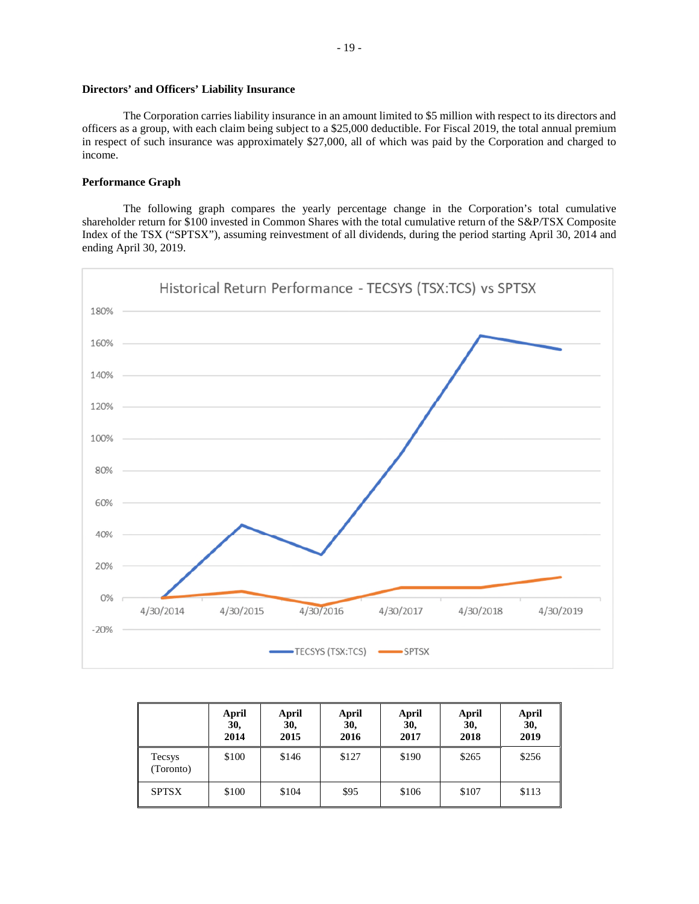# **Directors' and Officers' Liability Insurance**

The Corporation carries liability insurance in an amount limited to \$5 million with respect to its directors and officers as a group, with each claim being subject to a \$25,000 deductible. For Fiscal 2019, the total annual premium in respect of such insurance was approximately \$27,000, all of which was paid by the Corporation and charged to income.

# **Performance Graph**

The following graph compares the yearly percentage change in the Corporation's total cumulative shareholder return for \$100 invested in Common Shares with the total cumulative return of the S&P/TSX Composite Index of the TSX ("SPTSX"), assuming reinvestment of all dividends, during the period starting April 30, 2014 and ending April 30, 2019.



|                     | April<br>30,<br>2014 | April<br>30,<br>2015 | <b>April</b><br>30,<br>2016 | April<br>30,<br>2017 | April<br>30.<br>2018 | April<br>30,<br>2019 |
|---------------------|----------------------|----------------------|-----------------------------|----------------------|----------------------|----------------------|
| Tecsys<br>(Toronto) | \$100                | \$146                | \$127                       | \$190                | \$265                | \$256                |
| <b>SPTSX</b>        | \$100                | \$104                | \$95                        | \$106                | \$107                | \$113                |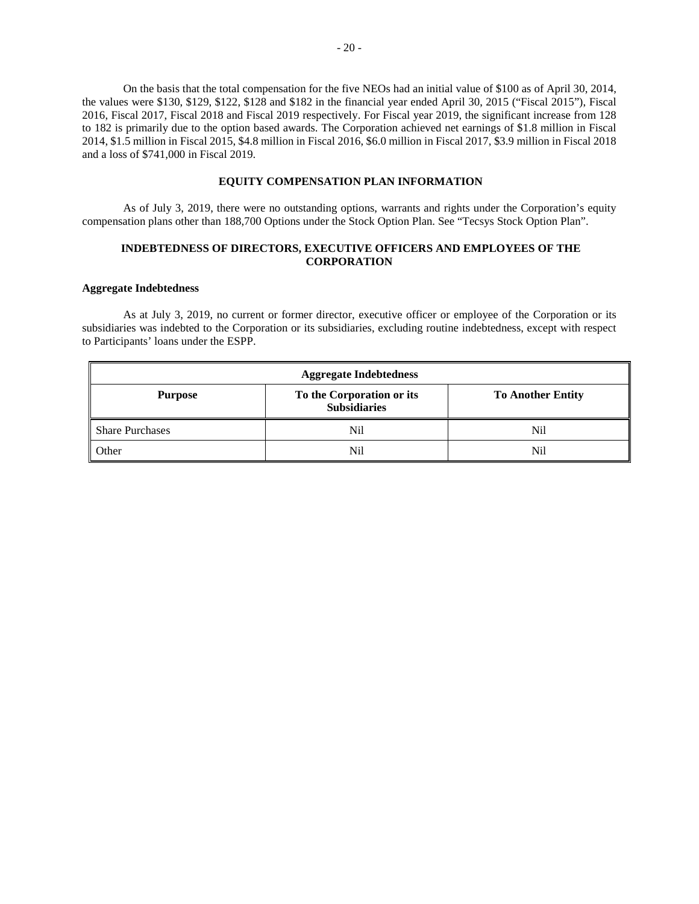On the basis that the total compensation for the five NEOs had an initial value of \$100 as of April 30, 2014, the values were \$130, \$129, \$122, \$128 and \$182 in the financial year ended April 30, 2015 ("Fiscal 2015"), Fiscal 2016, Fiscal 2017, Fiscal 2018 and Fiscal 2019 respectively. For Fiscal year 2019, the significant increase from 128 to 182 is primarily due to the option based awards. The Corporation achieved net earnings of \$1.8 million in Fiscal 2014, \$1.5 million in Fiscal 2015, \$4.8 million in Fiscal 2016, \$6.0 million in Fiscal 2017, \$3.9 million in Fiscal 2018 and a loss of \$741,000 in Fiscal 2019.

## **EQUITY COMPENSATION PLAN INFORMATION**

As of July 3, 2019, there were no outstanding options, warrants and rights under the Corporation's equity compensation plans other than 188,700 Options under the Stock Option Plan. See "Tecsys Stock Option Plan".

# **INDEBTEDNESS OF DIRECTORS, EXECUTIVE OFFICERS AND EMPLOYEES OF THE CORPORATION**

## **Aggregate Indebtedness**

As at July 3, 2019, no current or former director, executive officer or employee of the Corporation or its subsidiaries was indebted to the Corporation or its subsidiaries, excluding routine indebtedness, except with respect to Participants' loans under the ESPP.

| <b>Aggregate Indebtedness</b> |                                                  |                          |  |  |
|-------------------------------|--------------------------------------------------|--------------------------|--|--|
| <b>Purpose</b>                | To the Corporation or its<br><b>Subsidiaries</b> | <b>To Another Entity</b> |  |  |
| Share Purchases               | Nil                                              | Nil                      |  |  |
| Other                         | Nil                                              | Nil                      |  |  |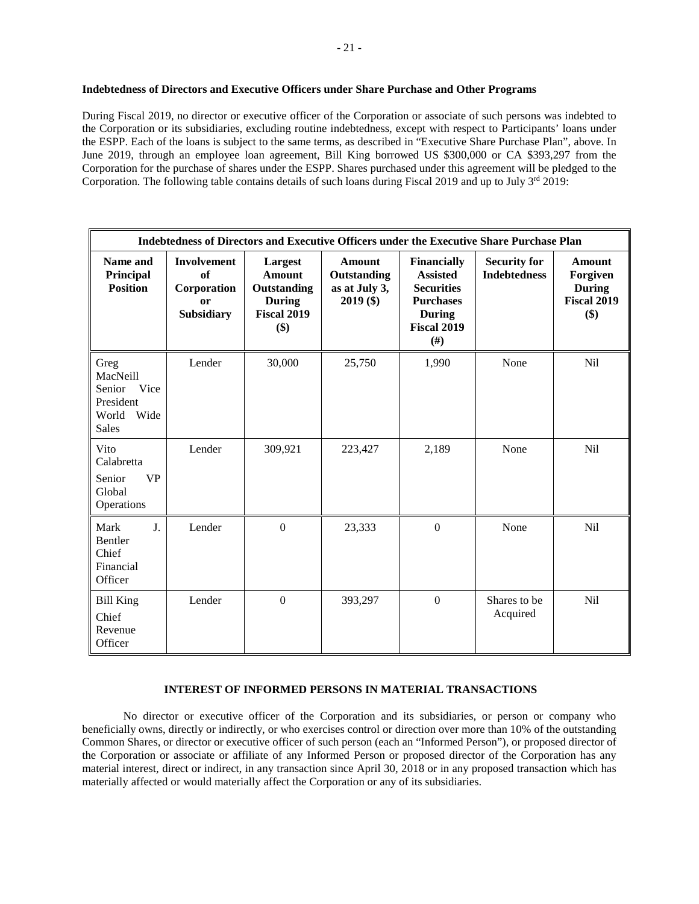# **Indebtedness of Directors and Executive Officers under Share Purchase and Other Programs**

During Fiscal 2019, no director or executive officer of the Corporation or associate of such persons was indebted to the Corporation or its subsidiaries, excluding routine indebtedness, except with respect to Participants' loans under the ESPP. Each of the loans is subject to the same terms, as described in "Executive Share Purchase Plan", above. In June 2019, through an employee loan agreement, Bill King borrowed US \$300,000 or CA \$393,297 from the Corporation for the purchase of shares under the ESPP. Shares purchased under this agreement will be pledged to the Corporation. The following table contains details of such loans during Fiscal 2019 and up to July  $3<sup>rd</sup>$  2019:

|                                                                                  | Indebtedness of Directors and Executive Officers under the Executive Share Purchase Plan |                                                                                       |                                                              |                                                                                                                          |                                            |                                                                         |
|----------------------------------------------------------------------------------|------------------------------------------------------------------------------------------|---------------------------------------------------------------------------------------|--------------------------------------------------------------|--------------------------------------------------------------------------------------------------------------------------|--------------------------------------------|-------------------------------------------------------------------------|
| Name and<br>Principal<br><b>Position</b>                                         | <b>Involvement</b><br>of<br>Corporation<br>or<br><b>Subsidiary</b>                       | Largest<br><b>Amount</b><br>Outstanding<br><b>During</b><br><b>Fiscal 2019</b><br>\$) | <b>Amount</b><br>Outstanding<br>as at July 3,<br>$2019($ \$) | Financially<br><b>Assisted</b><br><b>Securities</b><br><b>Purchases</b><br><b>During</b><br><b>Fiscal 2019</b><br>$(\#)$ | <b>Security for</b><br><b>Indebtedness</b> | <b>Amount</b><br>Forgiven<br><b>During</b><br><b>Fiscal 2019</b><br>\$) |
| Greg<br>MacNeill<br>Vice<br>Senior<br>President<br>Wide<br>World<br><b>Sales</b> | Lender                                                                                   | 30,000                                                                                | 25,750                                                       | 1,990                                                                                                                    | None                                       | <b>Nil</b>                                                              |
| Vito<br>Calabretta<br><b>VP</b><br>Senior<br>Global<br>Operations                | Lender                                                                                   | 309,921                                                                               | 223,427                                                      | 2,189                                                                                                                    | None                                       | <b>Nil</b>                                                              |
| J <sub>r</sub><br>Mark<br>Bentler<br>Chief<br>Financial<br>Officer               | Lender                                                                                   | $\Omega$                                                                              | 23,333                                                       | $\theta$                                                                                                                 | None                                       | <b>Nil</b>                                                              |
| <b>Bill King</b><br>Chief<br>Revenue<br>Officer                                  | Lender                                                                                   | $\overline{0}$                                                                        | 393,297                                                      | $\mathbf{0}$                                                                                                             | Shares to be<br>Acquired                   | Nil                                                                     |

## **INTEREST OF INFORMED PERSONS IN MATERIAL TRANSACTIONS**

No director or executive officer of the Corporation and its subsidiaries, or person or company who beneficially owns, directly or indirectly, or who exercises control or direction over more than 10% of the outstanding Common Shares, or director or executive officer of such person (each an "Informed Person"), or proposed director of the Corporation or associate or affiliate of any Informed Person or proposed director of the Corporation has any material interest, direct or indirect, in any transaction since April 30, 2018 or in any proposed transaction which has materially affected or would materially affect the Corporation or any of its subsidiaries.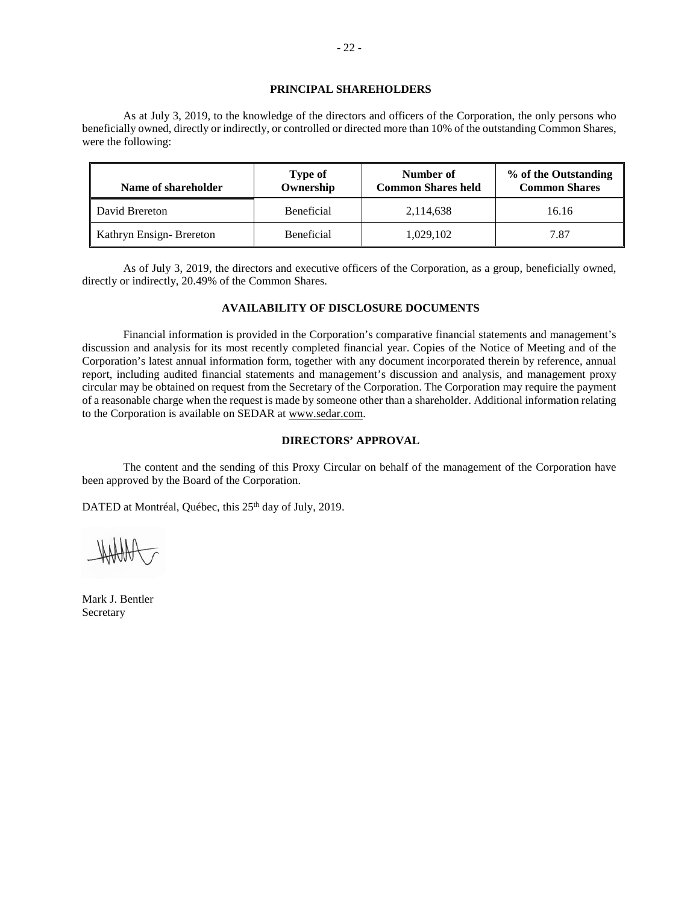# **PRINCIPAL SHAREHOLDERS**

As at July 3, 2019, to the knowledge of the directors and officers of the Corporation, the only persons who beneficially owned, directly or indirectly, or controlled or directed more than 10% of the outstanding Common Shares, were the following:

| Name of shareholder     | <b>Type of</b><br>Ownership | Number of<br><b>Common Shares held</b> | % of the Outstanding<br><b>Common Shares</b> |
|-------------------------|-----------------------------|----------------------------------------|----------------------------------------------|
| David Brereton          | <b>Beneficial</b>           | 2,114,638                              | 16.16                                        |
| Kathryn Ensign-Brereton | <b>Beneficial</b>           | 1,029,102                              | 7.87                                         |

As of July 3, 2019, the directors and executive officers of the Corporation, as a group, beneficially owned, directly or indirectly, 20.49% of the Common Shares.

# **AVAILABILITY OF DISCLOSURE DOCUMENTS**

Financial information is provided in the Corporation's comparative financial statements and management's discussion and analysis for its most recently completed financial year. Copies of the Notice of Meeting and of the Corporation's latest annual information form, together with any document incorporated therein by reference, annual report, including audited financial statements and management's discussion and analysis, and management proxy circular may be obtained on request from the Secretary of the Corporation. The Corporation may require the payment of a reasonable charge when the request is made by someone other than a shareholder. Additional information relating to the Corporation is available on SEDAR at www.sedar.com.

# **DIRECTORS' APPROVAL**

The content and the sending of this Proxy Circular on behalf of the management of the Corporation have been approved by the Board of the Corporation.

DATED at Montréal, Québec, this 25<sup>th</sup> day of July, 2019.

Mark J. Bentler Secretary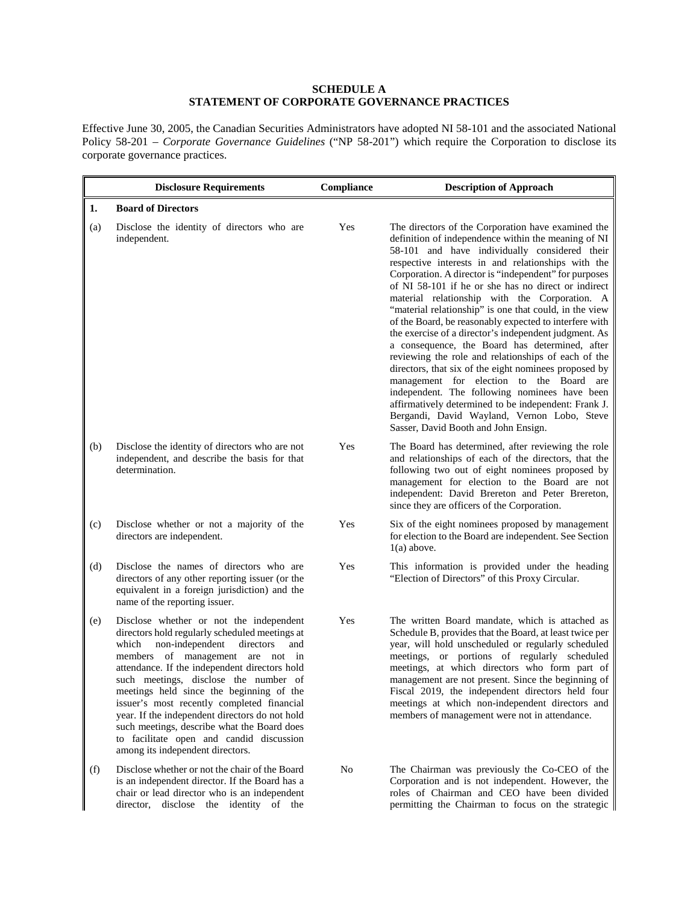# **SCHEDULE A STATEMENT OF CORPORATE GOVERNANCE PRACTICES**

Effective June 30, 2005, the Canadian Securities Administrators have adopted NI 58-101 and the associated National Policy 58-201 – *Corporate Governance Guidelines* ("NP 58-201") which require the Corporation to disclose its corporate governance practices.

|     | <b>Disclosure Requirements</b>                                                                                                                                                                                                                                                                                                                                                                                                                                                                                                                     | Compliance | <b>Description of Approach</b>                                                                                                                                                                                                                                                                                                                                                                                                                                                                                                                                                                                                                                                                                                                                                                                                                                                                                                                                               |
|-----|----------------------------------------------------------------------------------------------------------------------------------------------------------------------------------------------------------------------------------------------------------------------------------------------------------------------------------------------------------------------------------------------------------------------------------------------------------------------------------------------------------------------------------------------------|------------|------------------------------------------------------------------------------------------------------------------------------------------------------------------------------------------------------------------------------------------------------------------------------------------------------------------------------------------------------------------------------------------------------------------------------------------------------------------------------------------------------------------------------------------------------------------------------------------------------------------------------------------------------------------------------------------------------------------------------------------------------------------------------------------------------------------------------------------------------------------------------------------------------------------------------------------------------------------------------|
| 1.  | <b>Board of Directors</b>                                                                                                                                                                                                                                                                                                                                                                                                                                                                                                                          |            |                                                                                                                                                                                                                                                                                                                                                                                                                                                                                                                                                                                                                                                                                                                                                                                                                                                                                                                                                                              |
| (a) | Disclose the identity of directors who are<br>independent.                                                                                                                                                                                                                                                                                                                                                                                                                                                                                         | Yes        | The directors of the Corporation have examined the<br>definition of independence within the meaning of NI<br>58-101 and have individually considered their<br>respective interests in and relationships with the<br>Corporation. A director is "independent" for purposes<br>of NI 58-101 if he or she has no direct or indirect<br>material relationship with the Corporation. A<br>"material relationship" is one that could, in the view<br>of the Board, be reasonably expected to interfere with<br>the exercise of a director's independent judgment. As<br>a consequence, the Board has determined, after<br>reviewing the role and relationships of each of the<br>directors, that six of the eight nominees proposed by<br>management for election to the Board are<br>independent. The following nominees have been<br>affirmatively determined to be independent: Frank J.<br>Bergandi, David Wayland, Vernon Lobo, Steve<br>Sasser, David Booth and John Ensign. |
| (b) | Disclose the identity of directors who are not<br>independent, and describe the basis for that<br>determination.                                                                                                                                                                                                                                                                                                                                                                                                                                   | Yes        | The Board has determined, after reviewing the role<br>and relationships of each of the directors, that the<br>following two out of eight nominees proposed by<br>management for election to the Board are not<br>independent: David Brereton and Peter Brereton,<br>since they are officers of the Corporation.                                                                                                                                                                                                                                                                                                                                                                                                                                                                                                                                                                                                                                                              |
| (c) | Disclose whether or not a majority of the<br>directors are independent.                                                                                                                                                                                                                                                                                                                                                                                                                                                                            | Yes        | Six of the eight nominees proposed by management<br>for election to the Board are independent. See Section<br>$1(a)$ above.                                                                                                                                                                                                                                                                                                                                                                                                                                                                                                                                                                                                                                                                                                                                                                                                                                                  |
| (d) | Disclose the names of directors who are<br>directors of any other reporting issuer (or the<br>equivalent in a foreign jurisdiction) and the<br>name of the reporting issuer.                                                                                                                                                                                                                                                                                                                                                                       | Yes        | This information is provided under the heading<br>"Election of Directors" of this Proxy Circular.                                                                                                                                                                                                                                                                                                                                                                                                                                                                                                                                                                                                                                                                                                                                                                                                                                                                            |
| (e) | Disclose whether or not the independent<br>directors hold regularly scheduled meetings at<br>non-independent<br>which<br>directors<br>and<br>members of management are not in<br>attendance. If the independent directors hold<br>such meetings, disclose the number of<br>meetings held since the beginning of the<br>issuer's most recently completed financial<br>year. If the independent directors do not hold<br>such meetings, describe what the Board does<br>to facilitate open and candid discussion<br>among its independent directors. | Yes        | The written Board mandate, which is attached as<br>Schedule B, provides that the Board, at least twice per<br>year, will hold unscheduled or regularly scheduled<br>meetings, or portions of regularly scheduled<br>meetings, at which directors who form part of<br>management are not present. Since the beginning of<br>Fiscal 2019, the independent directors held four<br>meetings at which non-independent directors and<br>members of management were not in attendance.                                                                                                                                                                                                                                                                                                                                                                                                                                                                                              |
| (f) | Disclose whether or not the chair of the Board<br>is an independent director. If the Board has a<br>chair or lead director who is an independent<br>director, disclose the identity of the                                                                                                                                                                                                                                                                                                                                                         | No         | The Chairman was previously the Co-CEO of the<br>Corporation and is not independent. However, the<br>roles of Chairman and CEO have been divided<br>permitting the Chairman to focus on the strategic                                                                                                                                                                                                                                                                                                                                                                                                                                                                                                                                                                                                                                                                                                                                                                        |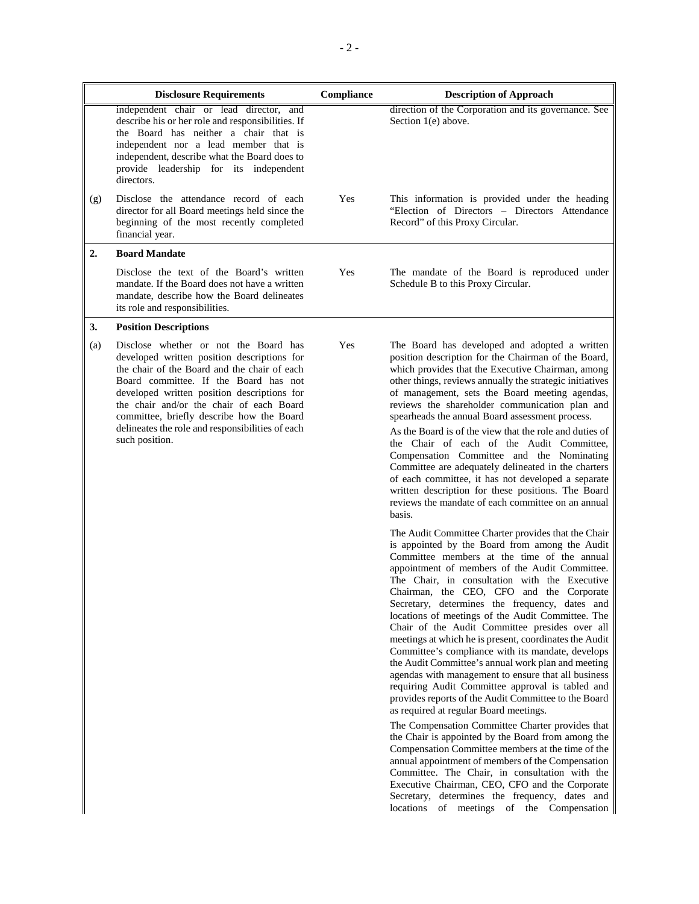|     | <b>Disclosure Requirements</b>                                                                                                                                                                                                                                                                                                                                                              | Compliance | <b>Description of Approach</b>                                                                                                                                                                                                                                                                                                                                                                                                                                                                                                                                                                                                                                                                                                                                                                                                                                                                                                                                                                                                                                                                                                                                         |
|-----|---------------------------------------------------------------------------------------------------------------------------------------------------------------------------------------------------------------------------------------------------------------------------------------------------------------------------------------------------------------------------------------------|------------|------------------------------------------------------------------------------------------------------------------------------------------------------------------------------------------------------------------------------------------------------------------------------------------------------------------------------------------------------------------------------------------------------------------------------------------------------------------------------------------------------------------------------------------------------------------------------------------------------------------------------------------------------------------------------------------------------------------------------------------------------------------------------------------------------------------------------------------------------------------------------------------------------------------------------------------------------------------------------------------------------------------------------------------------------------------------------------------------------------------------------------------------------------------------|
|     | independent chair or lead director, and<br>describe his or her role and responsibilities. If<br>the Board has neither a chair that is<br>independent nor a lead member that is<br>independent, describe what the Board does to<br>provide leadership for its independent<br>directors.                                                                                                      |            | direction of the Corporation and its governance. See<br>Section 1(e) above.                                                                                                                                                                                                                                                                                                                                                                                                                                                                                                                                                                                                                                                                                                                                                                                                                                                                                                                                                                                                                                                                                            |
| (g) | Disclose the attendance record of each<br>director for all Board meetings held since the<br>beginning of the most recently completed<br>financial year.                                                                                                                                                                                                                                     | Yes        | This information is provided under the heading<br>"Election of Directors - Directors Attendance<br>Record" of this Proxy Circular.                                                                                                                                                                                                                                                                                                                                                                                                                                                                                                                                                                                                                                                                                                                                                                                                                                                                                                                                                                                                                                     |
| 2.  | <b>Board Mandate</b>                                                                                                                                                                                                                                                                                                                                                                        |            |                                                                                                                                                                                                                                                                                                                                                                                                                                                                                                                                                                                                                                                                                                                                                                                                                                                                                                                                                                                                                                                                                                                                                                        |
|     | Disclose the text of the Board's written<br>mandate. If the Board does not have a written<br>mandate, describe how the Board delineates<br>its role and responsibilities.                                                                                                                                                                                                                   | Yes        | The mandate of the Board is reproduced under<br>Schedule B to this Proxy Circular.                                                                                                                                                                                                                                                                                                                                                                                                                                                                                                                                                                                                                                                                                                                                                                                                                                                                                                                                                                                                                                                                                     |
| 3.  | <b>Position Descriptions</b>                                                                                                                                                                                                                                                                                                                                                                |            |                                                                                                                                                                                                                                                                                                                                                                                                                                                                                                                                                                                                                                                                                                                                                                                                                                                                                                                                                                                                                                                                                                                                                                        |
| (a) | Disclose whether or not the Board has<br>developed written position descriptions for<br>the chair of the Board and the chair of each<br>Board committee. If the Board has not<br>developed written position descriptions for<br>the chair and/or the chair of each Board<br>committee, briefly describe how the Board<br>delineates the role and responsibilities of each<br>such position. | Yes        | The Board has developed and adopted a written<br>position description for the Chairman of the Board,<br>which provides that the Executive Chairman, among<br>other things, reviews annually the strategic initiatives<br>of management, sets the Board meeting agendas,<br>reviews the shareholder communication plan and<br>spearheads the annual Board assessment process.<br>As the Board is of the view that the role and duties of<br>the Chair of each of the Audit Committee,<br>Compensation Committee and the Nominating<br>Committee are adequately delineated in the charters<br>of each committee, it has not developed a separate<br>written description for these positions. The Board<br>reviews the mandate of each committee on an annual<br>basis.                                                                                                                                                                                                                                                                                                                                                                                                   |
|     |                                                                                                                                                                                                                                                                                                                                                                                             |            | The Audit Committee Charter provides that the Chair<br>is appointed by the Board from among the Audit<br>Committee members at the time of the annual<br>appointment of members of the Audit Committee.<br>The Chair, in consultation with the Executive<br>Chairman, the CEO, CFO and the Corporate<br>Secretary, determines the frequency, dates and<br>locations of meetings of the Audit Committee. The<br>Chair of the Audit Committee presides over all<br>meetings at which he is present, coordinates the Audit<br>Committee's compliance with its mandate, develops<br>the Audit Committee's annual work plan and meeting<br>agendas with management to ensure that all business<br>requiring Audit Committee approval is tabled and<br>provides reports of the Audit Committee to the Board<br>as required at regular Board meetings.<br>The Compensation Committee Charter provides that<br>the Chair is appointed by the Board from among the<br>Compensation Committee members at the time of the<br>annual appointment of members of the Compensation<br>Committee. The Chair, in consultation with the<br>Executive Chairman, CEO, CFO and the Corporate |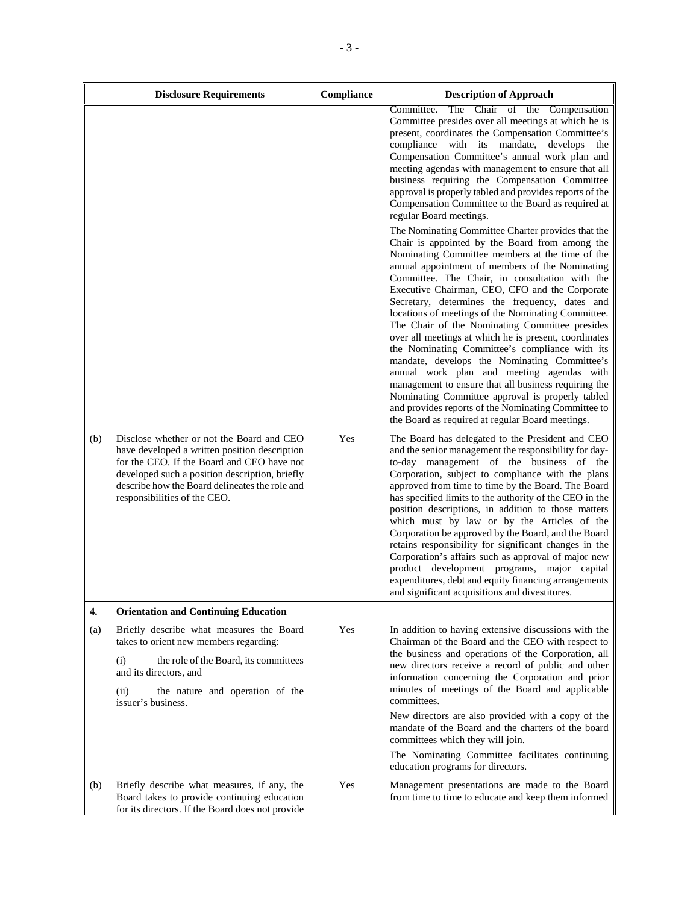|     | <b>Disclosure Requirements</b>                                                                                                                                                                                                                                               | Compliance | <b>Description of Approach</b>                                                                                                                                                                                                                                                                                                                                                                                                                                                                                                                                                                                                                                                                                                                                                                                                                                                                          |
|-----|------------------------------------------------------------------------------------------------------------------------------------------------------------------------------------------------------------------------------------------------------------------------------|------------|---------------------------------------------------------------------------------------------------------------------------------------------------------------------------------------------------------------------------------------------------------------------------------------------------------------------------------------------------------------------------------------------------------------------------------------------------------------------------------------------------------------------------------------------------------------------------------------------------------------------------------------------------------------------------------------------------------------------------------------------------------------------------------------------------------------------------------------------------------------------------------------------------------|
|     |                                                                                                                                                                                                                                                                              |            | The Chair of the Compensation<br>Committee.<br>Committee presides over all meetings at which he is<br>present, coordinates the Compensation Committee's<br>compliance with its mandate, develops<br>the<br>Compensation Committee's annual work plan and<br>meeting agendas with management to ensure that all<br>business requiring the Compensation Committee<br>approval is properly tabled and provides reports of the<br>Compensation Committee to the Board as required at<br>regular Board meetings.                                                                                                                                                                                                                                                                                                                                                                                             |
|     |                                                                                                                                                                                                                                                                              |            | The Nominating Committee Charter provides that the<br>Chair is appointed by the Board from among the<br>Nominating Committee members at the time of the<br>annual appointment of members of the Nominating<br>Committee. The Chair, in consultation with the<br>Executive Chairman, CEO, CFO and the Corporate<br>Secretary, determines the frequency, dates and<br>locations of meetings of the Nominating Committee.<br>The Chair of the Nominating Committee presides<br>over all meetings at which he is present, coordinates<br>the Nominating Committee's compliance with its<br>mandate, develops the Nominating Committee's<br>annual work plan and meeting agendas with<br>management to ensure that all business requiring the<br>Nominating Committee approval is properly tabled<br>and provides reports of the Nominating Committee to<br>the Board as required at regular Board meetings. |
| (b) | Disclose whether or not the Board and CEO<br>have developed a written position description<br>for the CEO. If the Board and CEO have not<br>developed such a position description, briefly<br>describe how the Board delineates the role and<br>responsibilities of the CEO. | Yes        | The Board has delegated to the President and CEO<br>and the senior management the responsibility for day-<br>to-day management of the business of the<br>Corporation, subject to compliance with the plans<br>approved from time to time by the Board. The Board<br>has specified limits to the authority of the CEO in the<br>position descriptions, in addition to those matters<br>which must by law or by the Articles of the<br>Corporation be approved by the Board, and the Board<br>retains responsibility for significant changes in the<br>Corporation's affairs such as approval of major new<br>product development programs, major capital<br>expenditures, debt and equity financing arrangements<br>and significant acquisitions and divestitures.                                                                                                                                       |
| 4.  | <b>Orientation and Continuing Education</b>                                                                                                                                                                                                                                  |            |                                                                                                                                                                                                                                                                                                                                                                                                                                                                                                                                                                                                                                                                                                                                                                                                                                                                                                         |
| (a) | Briefly describe what measures the Board<br>takes to orient new members regarding:<br>the role of the Board, its committees<br>(i)                                                                                                                                           | Yes        | In addition to having extensive discussions with the<br>Chairman of the Board and the CEO with respect to<br>the business and operations of the Corporation, all<br>new directors receive a record of public and other                                                                                                                                                                                                                                                                                                                                                                                                                                                                                                                                                                                                                                                                                  |
|     | and its directors, and<br>(ii)<br>the nature and operation of the<br>issuer's business.                                                                                                                                                                                      |            | information concerning the Corporation and prior<br>minutes of meetings of the Board and applicable<br>committees.                                                                                                                                                                                                                                                                                                                                                                                                                                                                                                                                                                                                                                                                                                                                                                                      |
|     |                                                                                                                                                                                                                                                                              |            | New directors are also provided with a copy of the<br>mandate of the Board and the charters of the board<br>committees which they will join.                                                                                                                                                                                                                                                                                                                                                                                                                                                                                                                                                                                                                                                                                                                                                            |
|     |                                                                                                                                                                                                                                                                              |            | The Nominating Committee facilitates continuing<br>education programs for directors.                                                                                                                                                                                                                                                                                                                                                                                                                                                                                                                                                                                                                                                                                                                                                                                                                    |
| (b) | Briefly describe what measures, if any, the<br>Board takes to provide continuing education<br>for its directors. If the Board does not provide                                                                                                                               | Yes        | Management presentations are made to the Board<br>from time to time to educate and keep them informed                                                                                                                                                                                                                                                                                                                                                                                                                                                                                                                                                                                                                                                                                                                                                                                                   |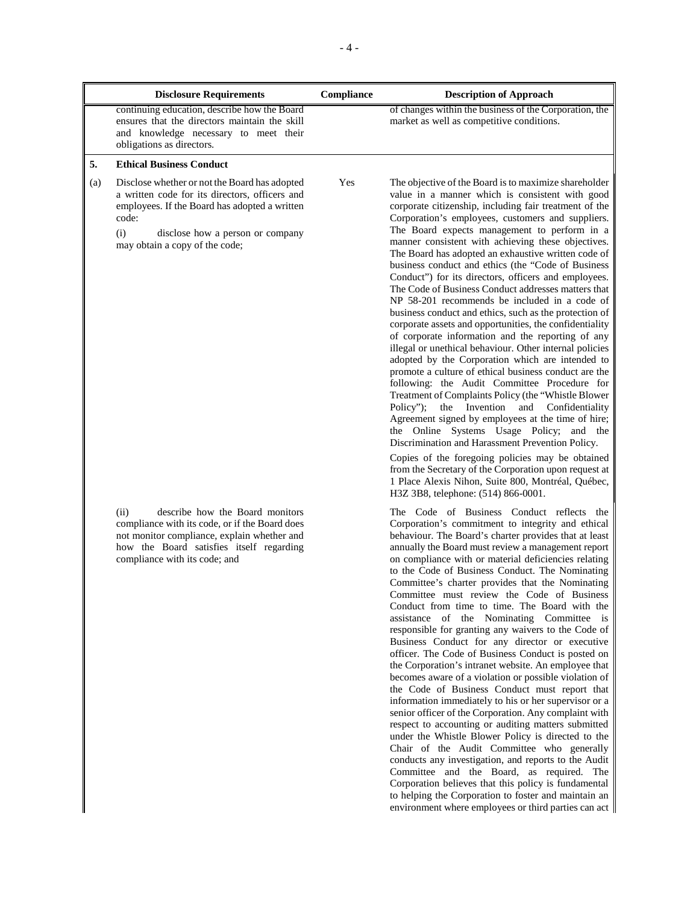|     | <b>Disclosure Requirements</b>                                                                                                                                                                                                         | Compliance | <b>Description of Approach</b>                                                                                                                                                                                                                                                                                                                                                                                                                                                                                                                                                                                                                                                                                                                                                                                                                                                                                                                                                                                                                                                                                                                                                                                                                                                                                                                                                                                                                                                                                                                                            |
|-----|----------------------------------------------------------------------------------------------------------------------------------------------------------------------------------------------------------------------------------------|------------|---------------------------------------------------------------------------------------------------------------------------------------------------------------------------------------------------------------------------------------------------------------------------------------------------------------------------------------------------------------------------------------------------------------------------------------------------------------------------------------------------------------------------------------------------------------------------------------------------------------------------------------------------------------------------------------------------------------------------------------------------------------------------------------------------------------------------------------------------------------------------------------------------------------------------------------------------------------------------------------------------------------------------------------------------------------------------------------------------------------------------------------------------------------------------------------------------------------------------------------------------------------------------------------------------------------------------------------------------------------------------------------------------------------------------------------------------------------------------------------------------------------------------------------------------------------------------|
|     | continuing education, describe how the Board<br>ensures that the directors maintain the skill<br>and knowledge necessary to meet their<br>obligations as directors.                                                                    |            | of changes within the business of the Corporation, the<br>market as well as competitive conditions.                                                                                                                                                                                                                                                                                                                                                                                                                                                                                                                                                                                                                                                                                                                                                                                                                                                                                                                                                                                                                                                                                                                                                                                                                                                                                                                                                                                                                                                                       |
| 5.  | <b>Ethical Business Conduct</b>                                                                                                                                                                                                        |            |                                                                                                                                                                                                                                                                                                                                                                                                                                                                                                                                                                                                                                                                                                                                                                                                                                                                                                                                                                                                                                                                                                                                                                                                                                                                                                                                                                                                                                                                                                                                                                           |
| (a) | Disclose whether or not the Board has adopted<br>a written code for its directors, officers and<br>employees. If the Board has adopted a written<br>code:<br>(i)<br>disclose how a person or company<br>may obtain a copy of the code; | Yes        | The objective of the Board is to maximize shareholder<br>value in a manner which is consistent with good<br>corporate citizenship, including fair treatment of the<br>Corporation's employees, customers and suppliers.<br>The Board expects management to perform in a<br>manner consistent with achieving these objectives.<br>The Board has adopted an exhaustive written code of<br>business conduct and ethics (the "Code of Business"<br>Conduct") for its directors, officers and employees.<br>The Code of Business Conduct addresses matters that<br>NP 58-201 recommends be included in a code of<br>business conduct and ethics, such as the protection of<br>corporate assets and opportunities, the confidentiality<br>of corporate information and the reporting of any<br>illegal or unethical behaviour. Other internal policies<br>adopted by the Corporation which are intended to<br>promote a culture of ethical business conduct are the<br>following: the Audit Committee Procedure for<br>Treatment of Complaints Policy (the "Whistle Blower"<br>Policy":<br>the Invention<br>and<br>Confidentiality<br>Agreement signed by employees at the time of hire;<br>the Online Systems Usage Policy; and the<br>Discrimination and Harassment Prevention Policy.<br>Copies of the foregoing policies may be obtained                                                                                                                                                                                                                                    |
|     | (ii)<br>describe how the Board monitors<br>compliance with its code, or if the Board does<br>not monitor compliance, explain whether and<br>how the Board satisfies itself regarding<br>compliance with its code; and                  |            | from the Secretary of the Corporation upon request at<br>1 Place Alexis Nihon, Suite 800, Montréal, Québec,<br>H3Z 3B8, telephone: (514) 866-0001.<br>The Code of Business Conduct reflects the<br>Corporation's commitment to integrity and ethical<br>behaviour. The Board's charter provides that at least<br>annually the Board must review a management report<br>on compliance with or material deficiencies relating<br>to the Code of Business Conduct. The Nominating<br>Committee's charter provides that the Nominating<br>Committee must review the Code of Business<br>Conduct from time to time. The Board with the<br>assistance of the Nominating Committee is<br>responsible for granting any waivers to the Code of<br>Business Conduct for any director or executive<br>officer. The Code of Business Conduct is posted on<br>the Corporation's intranet website. An employee that<br>becomes aware of a violation or possible violation of<br>the Code of Business Conduct must report that<br>information immediately to his or her supervisor or a<br>senior officer of the Corporation. Any complaint with<br>respect to accounting or auditing matters submitted<br>under the Whistle Blower Policy is directed to the<br>Chair of the Audit Committee who generally<br>conducts any investigation, and reports to the Audit<br>Committee and the Board, as required. The<br>Corporation believes that this policy is fundamental<br>to helping the Corporation to foster and maintain an<br>environment where employees or third parties can act |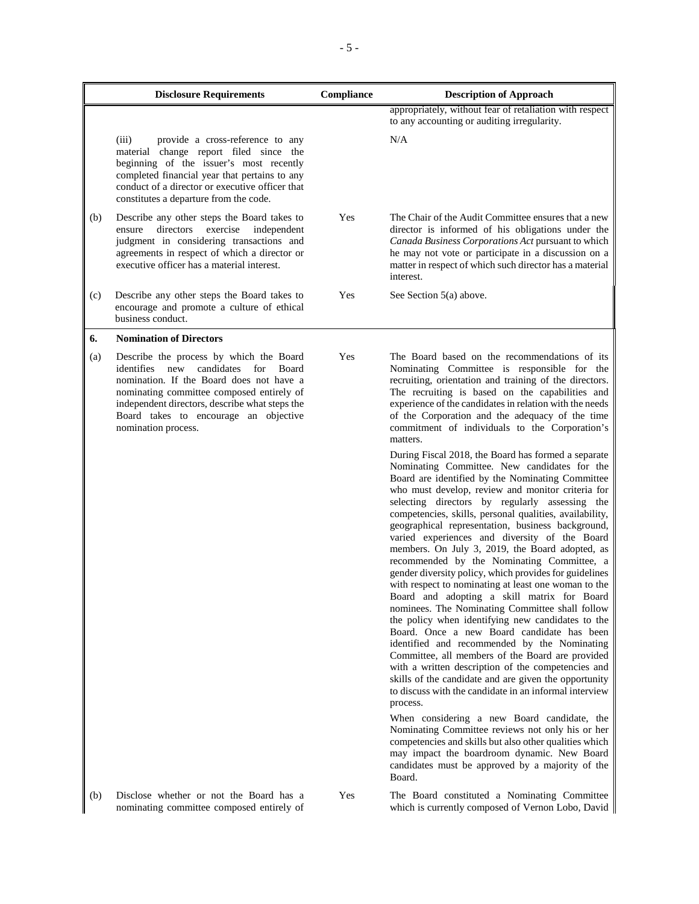|     | <b>Disclosure Requirements</b>                                                                                                                                                                                                                                                                        | Compliance | <b>Description of Approach</b>                                                                                                                                                                                                                                                                                                                                                                                                                                                                                                                                                                                                                                                                                                                                                                                                                                                                                                                                                      |
|-----|-------------------------------------------------------------------------------------------------------------------------------------------------------------------------------------------------------------------------------------------------------------------------------------------------------|------------|-------------------------------------------------------------------------------------------------------------------------------------------------------------------------------------------------------------------------------------------------------------------------------------------------------------------------------------------------------------------------------------------------------------------------------------------------------------------------------------------------------------------------------------------------------------------------------------------------------------------------------------------------------------------------------------------------------------------------------------------------------------------------------------------------------------------------------------------------------------------------------------------------------------------------------------------------------------------------------------|
|     |                                                                                                                                                                                                                                                                                                       |            | appropriately, without fear of retaliation with respect<br>to any accounting or auditing irregularity.                                                                                                                                                                                                                                                                                                                                                                                                                                                                                                                                                                                                                                                                                                                                                                                                                                                                              |
|     | (iii)<br>provide a cross-reference to any<br>material change report filed since the<br>beginning of the issuer's most recently<br>completed financial year that pertains to any<br>conduct of a director or executive officer that<br>constitutes a departure from the code.                          |            | N/A                                                                                                                                                                                                                                                                                                                                                                                                                                                                                                                                                                                                                                                                                                                                                                                                                                                                                                                                                                                 |
| (b) | Describe any other steps the Board takes to<br>directors<br>exercise<br>independent<br>ensure<br>judgment in considering transactions and<br>agreements in respect of which a director or<br>executive officer has a material interest.                                                               | Yes        | The Chair of the Audit Committee ensures that a new<br>director is informed of his obligations under the<br>Canada Business Corporations Act pursuant to which<br>he may not vote or participate in a discussion on a<br>matter in respect of which such director has a material<br>interest.                                                                                                                                                                                                                                                                                                                                                                                                                                                                                                                                                                                                                                                                                       |
| (c) | Describe any other steps the Board takes to<br>encourage and promote a culture of ethical<br>business conduct.                                                                                                                                                                                        | Yes        | See Section 5(a) above.                                                                                                                                                                                                                                                                                                                                                                                                                                                                                                                                                                                                                                                                                                                                                                                                                                                                                                                                                             |
| 6.  | <b>Nomination of Directors</b>                                                                                                                                                                                                                                                                        |            |                                                                                                                                                                                                                                                                                                                                                                                                                                                                                                                                                                                                                                                                                                                                                                                                                                                                                                                                                                                     |
| (a) | Describe the process by which the Board<br>candidates<br>identifies<br>new<br>for<br>Board<br>nomination. If the Board does not have a<br>nominating committee composed entirely of<br>independent directors, describe what steps the<br>Board takes to encourage an objective<br>nomination process. | Yes        | The Board based on the recommendations of its<br>Nominating Committee is responsible for the<br>recruiting, orientation and training of the directors.<br>The recruiting is based on the capabilities and<br>experience of the candidates in relation with the needs<br>of the Corporation and the adequacy of the time<br>commitment of individuals to the Corporation's<br>matters.<br>During Fiscal 2018, the Board has formed a separate<br>Nominating Committee. New candidates for the<br>Board are identified by the Nominating Committee<br>who must develop, review and monitor criteria for<br>selecting directors by regularly assessing the<br>competencies, skills, personal qualities, availability,<br>geographical representation, business background,<br>varied experiences and diversity of the Board<br>members. On July 3, 2019, the Board adopted, as<br>recommended by the Nominating Committee, a<br>gender diversity policy, which provides for guidelines |
|     |                                                                                                                                                                                                                                                                                                       |            | with respect to nominating at least one woman to the<br>Board and adopting a skill matrix for Board<br>nominees. The Nominating Committee shall follow<br>the policy when identifying new candidates to the<br>Board. Once a new Board candidate has been<br>identified and recommended by the Nominating<br>Committee, all members of the Board are provided<br>with a written description of the competencies and<br>skills of the candidate and are given the opportunity<br>to discuss with the candidate in an informal interview<br>process.<br>When considering a new Board candidate, the<br>Nominating Committee reviews not only his or her<br>competencies and skills but also other qualities which<br>may impact the boardroom dynamic. New Board<br>candidates must be approved by a majority of the<br>Board.                                                                                                                                                        |
| (b) | Disclose whether or not the Board has a<br>nominating committee composed entirely of                                                                                                                                                                                                                  | Yes        | The Board constituted a Nominating Committee<br>which is currently composed of Vernon Lobo, David                                                                                                                                                                                                                                                                                                                                                                                                                                                                                                                                                                                                                                                                                                                                                                                                                                                                                   |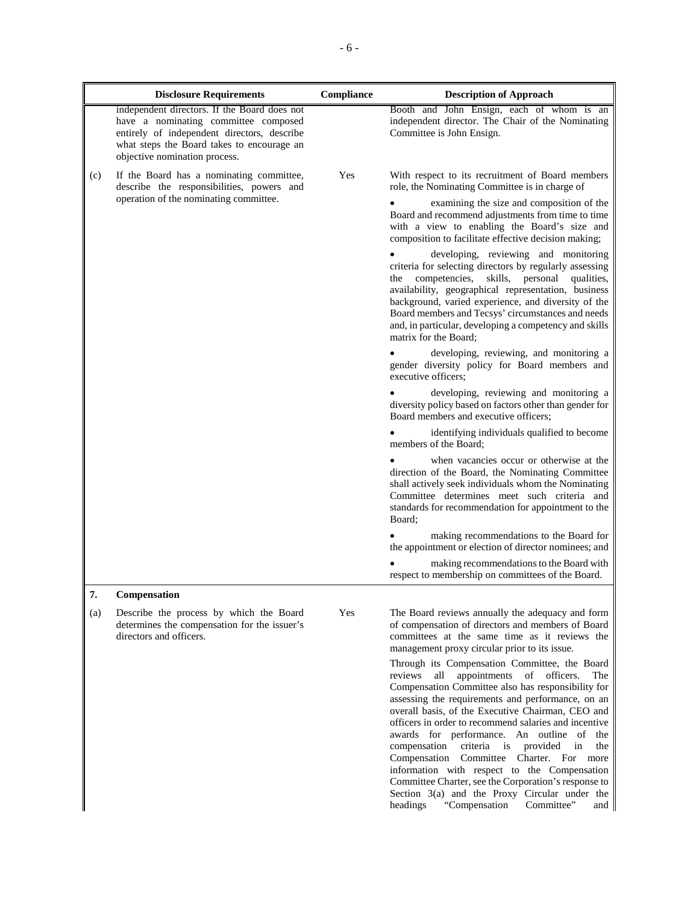|     | <b>Disclosure Requirements</b>                                                                                                                                                                                     | Compliance | <b>Description of Approach</b>                                                                                                                                                                                                                                                                                                                                                                                                                                                                                                                                                                                                                                                               |
|-----|--------------------------------------------------------------------------------------------------------------------------------------------------------------------------------------------------------------------|------------|----------------------------------------------------------------------------------------------------------------------------------------------------------------------------------------------------------------------------------------------------------------------------------------------------------------------------------------------------------------------------------------------------------------------------------------------------------------------------------------------------------------------------------------------------------------------------------------------------------------------------------------------------------------------------------------------|
|     | independent directors. If the Board does not<br>have a nominating committee composed<br>entirely of independent directors, describe<br>what steps the Board takes to encourage an<br>objective nomination process. |            | Booth and John Ensign, each of whom is an<br>independent director. The Chair of the Nominating<br>Committee is John Ensign.                                                                                                                                                                                                                                                                                                                                                                                                                                                                                                                                                                  |
| (c) | If the Board has a nominating committee,<br>describe the responsibilities, powers and                                                                                                                              | Yes        | With respect to its recruitment of Board members<br>role, the Nominating Committee is in charge of                                                                                                                                                                                                                                                                                                                                                                                                                                                                                                                                                                                           |
|     | operation of the nominating committee.                                                                                                                                                                             |            | examining the size and composition of the<br>Board and recommend adjustments from time to time<br>with a view to enabling the Board's size and<br>composition to facilitate effective decision making;                                                                                                                                                                                                                                                                                                                                                                                                                                                                                       |
|     |                                                                                                                                                                                                                    |            | developing, reviewing and monitoring<br>criteria for selecting directors by regularly assessing<br>the competencies, skills, personal<br>qualities,<br>availability, geographical representation, business<br>background, varied experience, and diversity of the<br>Board members and Tecsys' circumstances and needs<br>and, in particular, developing a competency and skills<br>matrix for the Board:                                                                                                                                                                                                                                                                                    |
|     |                                                                                                                                                                                                                    |            | developing, reviewing, and monitoring a<br>gender diversity policy for Board members and<br>executive officers:                                                                                                                                                                                                                                                                                                                                                                                                                                                                                                                                                                              |
|     |                                                                                                                                                                                                                    |            | developing, reviewing and monitoring a<br>diversity policy based on factors other than gender for<br>Board members and executive officers;                                                                                                                                                                                                                                                                                                                                                                                                                                                                                                                                                   |
|     |                                                                                                                                                                                                                    |            | identifying individuals qualified to become<br>members of the Board;                                                                                                                                                                                                                                                                                                                                                                                                                                                                                                                                                                                                                         |
|     |                                                                                                                                                                                                                    |            | when vacancies occur or otherwise at the<br>direction of the Board, the Nominating Committee<br>shall actively seek individuals whom the Nominating<br>Committee determines meet such criteria and<br>standards for recommendation for appointment to the<br>Board;                                                                                                                                                                                                                                                                                                                                                                                                                          |
|     |                                                                                                                                                                                                                    |            | making recommendations to the Board for<br>the appointment or election of director nominees; and                                                                                                                                                                                                                                                                                                                                                                                                                                                                                                                                                                                             |
|     |                                                                                                                                                                                                                    |            | making recommendations to the Board with<br>respect to membership on committees of the Board.                                                                                                                                                                                                                                                                                                                                                                                                                                                                                                                                                                                                |
| 7.  | Compensation                                                                                                                                                                                                       |            |                                                                                                                                                                                                                                                                                                                                                                                                                                                                                                                                                                                                                                                                                              |
| (a) | Describe the process by which the Board<br>determines the compensation for the issuer's<br>directors and officers.                                                                                                 | Yes        | The Board reviews annually the adequacy and form<br>of compensation of directors and members of Board<br>committees at the same time as it reviews the<br>management proxy circular prior to its issue.                                                                                                                                                                                                                                                                                                                                                                                                                                                                                      |
|     |                                                                                                                                                                                                                    |            | Through its Compensation Committee, the Board<br>reviews all<br>appointments of officers.<br>The<br>Compensation Committee also has responsibility for<br>assessing the requirements and performance, on an<br>overall basis, of the Executive Chairman, CEO and<br>officers in order to recommend salaries and incentive<br>awards for performance. An outline of<br>the<br>compensation<br>criteria<br>is<br>provided<br>in<br>the<br>Compensation Committee Charter. For more<br>information with respect to the Compensation<br>Committee Charter, see the Corporation's response to<br>Section 3(a) and the Proxy Circular under the<br>Committee"<br>headings<br>"Compensation"<br>and |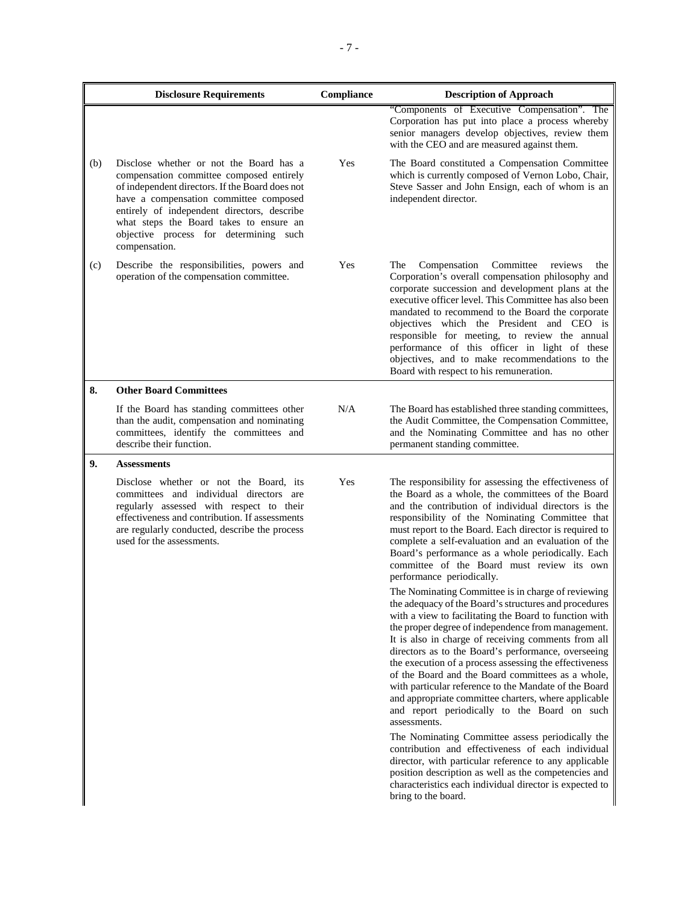|     | <b>Disclosure Requirements</b>                                                                                                                                                                                                                                                                                                        | Compliance | <b>Description of Approach</b>                                                                                                                                                                                                                                                                                                                                                                                                                                                                                                                                                                                                                                                                                                                                                                                                                                                                                                                                                                                                                                                                                                                                                                                                                                                                                                                                                                                                 |
|-----|---------------------------------------------------------------------------------------------------------------------------------------------------------------------------------------------------------------------------------------------------------------------------------------------------------------------------------------|------------|--------------------------------------------------------------------------------------------------------------------------------------------------------------------------------------------------------------------------------------------------------------------------------------------------------------------------------------------------------------------------------------------------------------------------------------------------------------------------------------------------------------------------------------------------------------------------------------------------------------------------------------------------------------------------------------------------------------------------------------------------------------------------------------------------------------------------------------------------------------------------------------------------------------------------------------------------------------------------------------------------------------------------------------------------------------------------------------------------------------------------------------------------------------------------------------------------------------------------------------------------------------------------------------------------------------------------------------------------------------------------------------------------------------------------------|
|     |                                                                                                                                                                                                                                                                                                                                       |            | "Components of Executive Compensation". The<br>Corporation has put into place a process whereby<br>senior managers develop objectives, review them<br>with the CEO and are measured against them.                                                                                                                                                                                                                                                                                                                                                                                                                                                                                                                                                                                                                                                                                                                                                                                                                                                                                                                                                                                                                                                                                                                                                                                                                              |
| (b) | Disclose whether or not the Board has a<br>compensation committee composed entirely<br>of independent directors. If the Board does not<br>have a compensation committee composed<br>entirely of independent directors, describe<br>what steps the Board takes to ensure an<br>objective process for determining such<br>compensation. | Yes        | The Board constituted a Compensation Committee<br>which is currently composed of Vernon Lobo, Chair,<br>Steve Sasser and John Ensign, each of whom is an<br>independent director.                                                                                                                                                                                                                                                                                                                                                                                                                                                                                                                                                                                                                                                                                                                                                                                                                                                                                                                                                                                                                                                                                                                                                                                                                                              |
| (c) | Describe the responsibilities, powers and<br>operation of the compensation committee.                                                                                                                                                                                                                                                 | Yes        | The<br>Compensation<br>Committee<br>reviews<br>the<br>Corporation's overall compensation philosophy and<br>corporate succession and development plans at the<br>executive officer level. This Committee has also been<br>mandated to recommend to the Board the corporate<br>objectives which the President and CEO is<br>responsible for meeting, to review the annual<br>performance of this officer in light of these<br>objectives, and to make recommendations to the<br>Board with respect to his remuneration.                                                                                                                                                                                                                                                                                                                                                                                                                                                                                                                                                                                                                                                                                                                                                                                                                                                                                                          |
| 8.  | <b>Other Board Committees</b>                                                                                                                                                                                                                                                                                                         |            |                                                                                                                                                                                                                                                                                                                                                                                                                                                                                                                                                                                                                                                                                                                                                                                                                                                                                                                                                                                                                                                                                                                                                                                                                                                                                                                                                                                                                                |
|     | If the Board has standing committees other<br>than the audit, compensation and nominating<br>committees, identify the committees and<br>describe their function.                                                                                                                                                                      | N/A        | The Board has established three standing committees,<br>the Audit Committee, the Compensation Committee,<br>and the Nominating Committee and has no other<br>permanent standing committee.                                                                                                                                                                                                                                                                                                                                                                                                                                                                                                                                                                                                                                                                                                                                                                                                                                                                                                                                                                                                                                                                                                                                                                                                                                     |
| 9.  | <b>Assessments</b>                                                                                                                                                                                                                                                                                                                    |            |                                                                                                                                                                                                                                                                                                                                                                                                                                                                                                                                                                                                                                                                                                                                                                                                                                                                                                                                                                                                                                                                                                                                                                                                                                                                                                                                                                                                                                |
|     | Disclose whether or not the Board, its<br>committees and individual directors are<br>regularly assessed with respect to their<br>effectiveness and contribution. If assessments<br>are regularly conducted, describe the process<br>used for the assessments.                                                                         | Yes        | The responsibility for assessing the effectiveness of<br>the Board as a whole, the committees of the Board<br>and the contribution of individual directors is the<br>responsibility of the Nominating Committee that<br>must report to the Board. Each director is required to<br>complete a self-evaluation and an evaluation of the<br>Board's performance as a whole periodically. Each<br>committee of the Board must review its own<br>performance periodically.<br>The Nominating Committee is in charge of reviewing<br>the adequacy of the Board's structures and procedures<br>with a view to facilitating the Board to function with<br>the proper degree of independence from management.<br>It is also in charge of receiving comments from all<br>directors as to the Board's performance, overseeing<br>the execution of a process assessing the effectiveness<br>of the Board and the Board committees as a whole,<br>with particular reference to the Mandate of the Board<br>and appropriate committee charters, where applicable<br>and report periodically to the Board on such<br>assessments.<br>The Nominating Committee assess periodically the<br>contribution and effectiveness of each individual<br>director, with particular reference to any applicable<br>position description as well as the competencies and<br>characteristics each individual director is expected to<br>bring to the board. |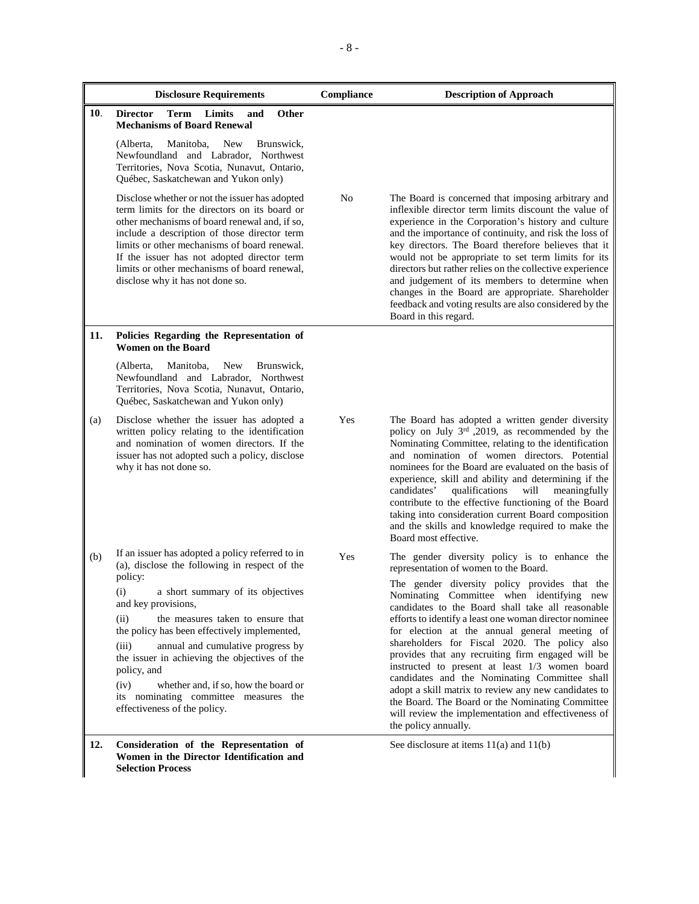|     | <b>Disclosure Requirements</b>                                                                                                                                                                                                                                                                                                                                                                                 | Compliance | <b>Description of Approach</b>                                                                                                                                                                                                                                                                                                                                                                                                                                                                                                                                                                                                         |
|-----|----------------------------------------------------------------------------------------------------------------------------------------------------------------------------------------------------------------------------------------------------------------------------------------------------------------------------------------------------------------------------------------------------------------|------------|----------------------------------------------------------------------------------------------------------------------------------------------------------------------------------------------------------------------------------------------------------------------------------------------------------------------------------------------------------------------------------------------------------------------------------------------------------------------------------------------------------------------------------------------------------------------------------------------------------------------------------------|
| 10. | <b>Term Limits</b><br>Other<br><b>Director</b><br>and<br><b>Mechanisms of Board Renewal</b>                                                                                                                                                                                                                                                                                                                    |            |                                                                                                                                                                                                                                                                                                                                                                                                                                                                                                                                                                                                                                        |
|     | <b>New</b><br>Brunswick,<br>(Alberta,<br>Manitoba,<br>Newfoundland and Labrador, Northwest<br>Territories, Nova Scotia, Nunavut, Ontario,<br>Québec, Saskatchewan and Yukon only)                                                                                                                                                                                                                              |            |                                                                                                                                                                                                                                                                                                                                                                                                                                                                                                                                                                                                                                        |
|     | Disclose whether or not the issuer has adopted<br>term limits for the directors on its board or<br>other mechanisms of board renewal and, if so,<br>include a description of those director term<br>limits or other mechanisms of board renewal.<br>If the issuer has not adopted director term<br>limits or other mechanisms of board renewal,<br>disclose why it has not done so.                            | No         | The Board is concerned that imposing arbitrary and<br>inflexible director term limits discount the value of<br>experience in the Corporation's history and culture<br>and the importance of continuity, and risk the loss of<br>key directors. The Board therefore believes that it<br>would not be appropriate to set term limits for its<br>directors but rather relies on the collective experience<br>and judgement of its members to determine when<br>changes in the Board are appropriate. Shareholder<br>feedback and voting results are also considered by the<br>Board in this regard.                                       |
| 11. | Policies Regarding the Representation of<br><b>Women on the Board</b>                                                                                                                                                                                                                                                                                                                                          |            |                                                                                                                                                                                                                                                                                                                                                                                                                                                                                                                                                                                                                                        |
|     | Manitoba,<br><b>New</b><br>Brunswick,<br>(Alberta,<br>Newfoundland and Labrador, Northwest<br>Territories, Nova Scotia, Nunavut, Ontario,<br>Québec, Saskatchewan and Yukon only)                                                                                                                                                                                                                              |            |                                                                                                                                                                                                                                                                                                                                                                                                                                                                                                                                                                                                                                        |
| (a) | Disclose whether the issuer has adopted a<br>written policy relating to the identification<br>and nomination of women directors. If the<br>issuer has not adopted such a policy, disclose<br>why it has not done so.                                                                                                                                                                                           | Yes        | The Board has adopted a written gender diversity<br>policy on July 3rd ,2019, as recommended by the<br>Nominating Committee, relating to the identification<br>and nomination of women directors. Potential<br>nominees for the Board are evaluated on the basis of<br>experience, skill and ability and determining if the<br>candidates'<br>qualifications<br>will<br>meaningfully<br>contribute to the effective functioning of the Board<br>taking into consideration current Board composition<br>and the skills and knowledge required to make the<br>Board most effective.                                                      |
| (b) | If an issuer has adopted a policy referred to in<br>(a), disclose the following in respect of the                                                                                                                                                                                                                                                                                                              | Yes        | The gender diversity policy is to enhance the<br>representation of women to the Board.                                                                                                                                                                                                                                                                                                                                                                                                                                                                                                                                                 |
|     | policy:<br>a short summary of its objectives<br>(i)<br>and key provisions,<br>the measures taken to ensure that<br>(ii)<br>the policy has been effectively implemented,<br>(iii)<br>annual and cumulative progress by<br>the issuer in achieving the objectives of the<br>policy, and<br>whether and, if so, how the board or<br>(iv)<br>its nominating committee measures the<br>effectiveness of the policy. |            | The gender diversity policy provides that the<br>Nominating Committee when identifying new<br>candidates to the Board shall take all reasonable<br>efforts to identify a least one woman director nominee<br>for election at the annual general meeting of<br>shareholders for Fiscal 2020. The policy also<br>provides that any recruiting firm engaged will be<br>instructed to present at least 1/3 women board<br>candidates and the Nominating Committee shall<br>adopt a skill matrix to review any new candidates to<br>the Board. The Board or the Nominating Committee<br>will review the implementation and effectiveness of |
|     |                                                                                                                                                                                                                                                                                                                                                                                                                |            | the policy annually.                                                                                                                                                                                                                                                                                                                                                                                                                                                                                                                                                                                                                   |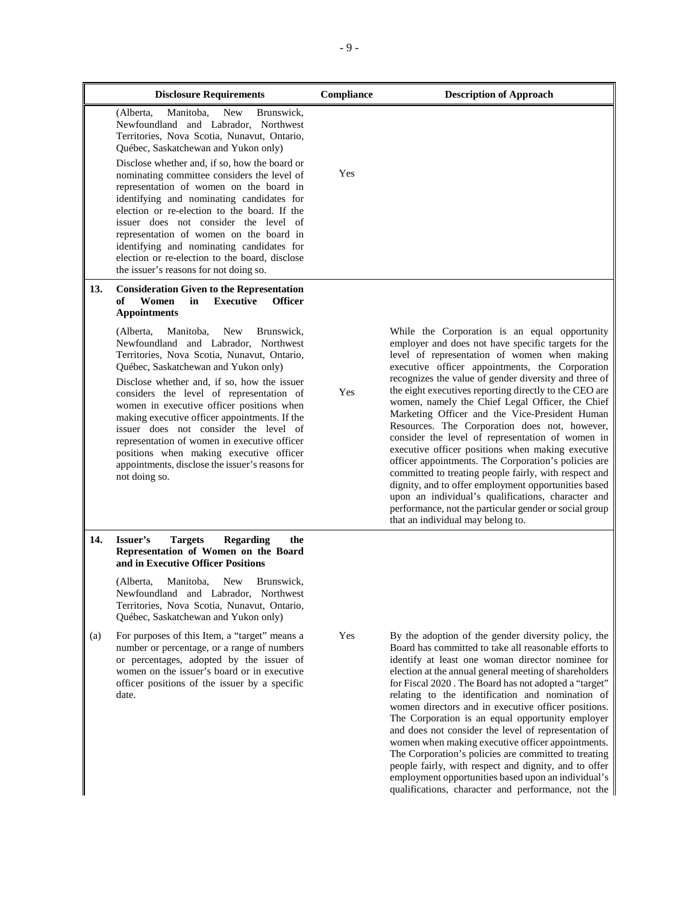|     | <b>Disclosure Requirements</b>                                                                                                                                                                                                                                                                                                                                                                                                                                                                                                                                                                                                                         | Compliance | <b>Description of Approach</b>                                                                                                                                                                                                                                                                                                                                                                                                                                                                                                                                                                                                                                                                                                                                                                                                                                                                                           |
|-----|--------------------------------------------------------------------------------------------------------------------------------------------------------------------------------------------------------------------------------------------------------------------------------------------------------------------------------------------------------------------------------------------------------------------------------------------------------------------------------------------------------------------------------------------------------------------------------------------------------------------------------------------------------|------------|--------------------------------------------------------------------------------------------------------------------------------------------------------------------------------------------------------------------------------------------------------------------------------------------------------------------------------------------------------------------------------------------------------------------------------------------------------------------------------------------------------------------------------------------------------------------------------------------------------------------------------------------------------------------------------------------------------------------------------------------------------------------------------------------------------------------------------------------------------------------------------------------------------------------------|
|     | Manitoba.<br><b>New</b><br>Brunswick,<br>(Alberta,<br>Newfoundland and Labrador, Northwest<br>Territories, Nova Scotia, Nunavut, Ontario,<br>Québec, Saskatchewan and Yukon only)<br>Disclose whether and, if so, how the board or<br>nominating committee considers the level of<br>representation of women on the board in<br>identifying and nominating candidates for<br>election or re-election to the board. If the<br>issuer does not consider the level of<br>representation of women on the board in<br>identifying and nominating candidates for<br>election or re-election to the board, disclose<br>the issuer's reasons for not doing so. | Yes        |                                                                                                                                                                                                                                                                                                                                                                                                                                                                                                                                                                                                                                                                                                                                                                                                                                                                                                                          |
| 13. | <b>Consideration Given to the Representation</b><br>of<br>Women<br><b>Executive</b><br><b>Officer</b><br>in<br><b>Appointments</b>                                                                                                                                                                                                                                                                                                                                                                                                                                                                                                                     |            |                                                                                                                                                                                                                                                                                                                                                                                                                                                                                                                                                                                                                                                                                                                                                                                                                                                                                                                          |
|     | <b>New</b><br>(Alberta,<br>Manitoba,<br>Brunswick,<br>Newfoundland and Labrador, Northwest<br>Territories, Nova Scotia, Nunavut, Ontario,<br>Québec, Saskatchewan and Yukon only)<br>Disclose whether and, if so, how the issuer<br>considers the level of representation of<br>women in executive officer positions when<br>making executive officer appointments. If the<br>issuer does not consider the level of<br>representation of women in executive officer<br>positions when making executive officer<br>appointments, disclose the issuer's reasons for<br>not doing so.                                                                     | Yes        | While the Corporation is an equal opportunity<br>employer and does not have specific targets for the<br>level of representation of women when making<br>executive officer appointments, the Corporation<br>recognizes the value of gender diversity and three of<br>the eight executives reporting directly to the CEO are<br>women, namely the Chief Legal Officer, the Chief<br>Marketing Officer and the Vice-President Human<br>Resources. The Corporation does not, however,<br>consider the level of representation of women in<br>executive officer positions when making executive<br>officer appointments. The Corporation's policies are<br>committed to treating people fairly, with respect and<br>dignity, and to offer employment opportunities based<br>upon an individual's qualifications, character and<br>performance, not the particular gender or social group<br>that an individual may belong to. |
| 14. | Issuer's<br><b>Targets</b><br><b>Regarding</b><br>the<br>Representation of Women on the Board<br>and in Executive Officer Positions                                                                                                                                                                                                                                                                                                                                                                                                                                                                                                                    |            |                                                                                                                                                                                                                                                                                                                                                                                                                                                                                                                                                                                                                                                                                                                                                                                                                                                                                                                          |
|     | New<br>Manitoba,<br>Brunswick,<br>(Alberta,<br>Newfoundland and Labrador, Northwest<br>Territories, Nova Scotia, Nunavut, Ontario,<br>Québec, Saskatchewan and Yukon only)                                                                                                                                                                                                                                                                                                                                                                                                                                                                             |            |                                                                                                                                                                                                                                                                                                                                                                                                                                                                                                                                                                                                                                                                                                                                                                                                                                                                                                                          |
| (a) | For purposes of this Item, a "target" means a<br>number or percentage, or a range of numbers<br>or percentages, adopted by the issuer of<br>women on the issuer's board or in executive<br>officer positions of the issuer by a specific<br>date.                                                                                                                                                                                                                                                                                                                                                                                                      | Yes        | By the adoption of the gender diversity policy, the<br>Board has committed to take all reasonable efforts to<br>identify at least one woman director nominee for<br>election at the annual general meeting of shareholders<br>for Fiscal 2020. The Board has not adopted a "target"<br>relating to the identification and nomination of<br>women directors and in executive officer positions.<br>The Corporation is an equal opportunity employer<br>and does not consider the level of representation of<br>women when making executive officer appointments.<br>The Corporation's policies are committed to treating<br>people fairly, with respect and dignity, and to offer<br>employment opportunities based upon an individual's<br>qualifications, character and performance, not the                                                                                                                            |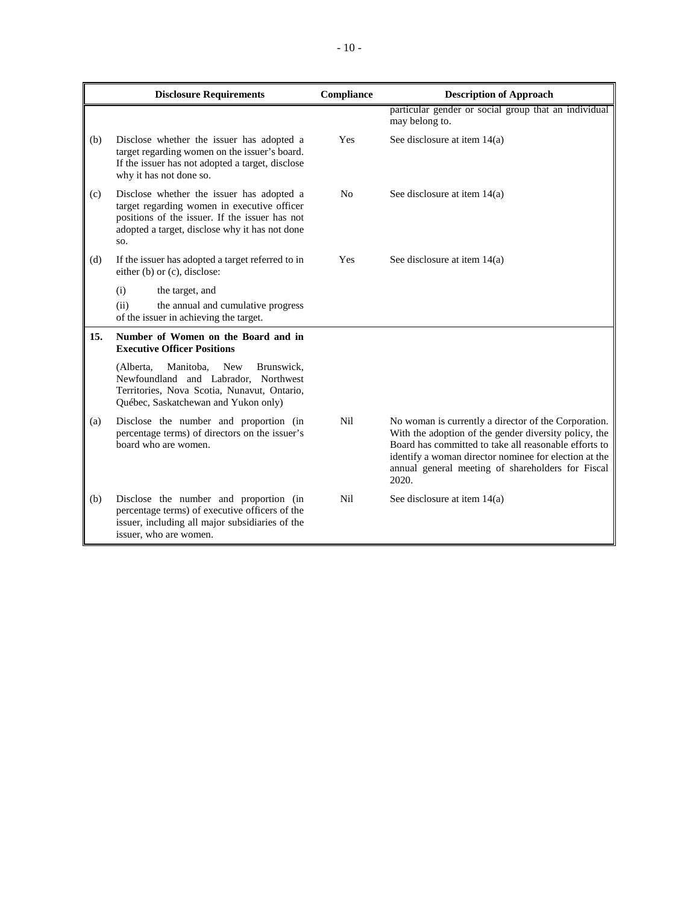|     | <b>Disclosure Requirements</b>                                                                                                                                                                      | Compliance     | <b>Description of Approach</b>                                                                                                                                                                                                                                                                |
|-----|-----------------------------------------------------------------------------------------------------------------------------------------------------------------------------------------------------|----------------|-----------------------------------------------------------------------------------------------------------------------------------------------------------------------------------------------------------------------------------------------------------------------------------------------|
|     |                                                                                                                                                                                                     |                | particular gender or social group that an individual<br>may belong to.                                                                                                                                                                                                                        |
| (b) | Disclose whether the issuer has adopted a<br>target regarding women on the issuer's board.<br>If the issuer has not adopted a target, disclose<br>why it has not done so.                           | <b>Yes</b>     | See disclosure at item $14(a)$                                                                                                                                                                                                                                                                |
| (c) | Disclose whether the issuer has adopted a<br>target regarding women in executive officer<br>positions of the issuer. If the issuer has not<br>adopted a target, disclose why it has not done<br>SO. | N <sub>o</sub> | See disclosure at item $14(a)$                                                                                                                                                                                                                                                                |
| (d) | If the issuer has adopted a target referred to in<br>either (b) or (c), disclose:                                                                                                                   | Yes            | See disclosure at item $14(a)$                                                                                                                                                                                                                                                                |
|     | (i)<br>the target, and                                                                                                                                                                              |                |                                                                                                                                                                                                                                                                                               |
|     | (ii)<br>the annual and cumulative progress<br>of the issuer in achieving the target.                                                                                                                |                |                                                                                                                                                                                                                                                                                               |
| 15. | Number of Women on the Board and in<br><b>Executive Officer Positions</b>                                                                                                                           |                |                                                                                                                                                                                                                                                                                               |
|     | (Alberta,<br>Manitoba,<br><b>New</b><br>Brunswick,<br>Newfoundland and Labrador, Northwest<br>Territories, Nova Scotia, Nunavut, Ontario,<br>Québec, Saskatchewan and Yukon only)                   |                |                                                                                                                                                                                                                                                                                               |
| (a) | Disclose the number and proportion (in<br>percentage terms) of directors on the issuer's<br>board who are women.                                                                                    | Nil            | No woman is currently a director of the Corporation.<br>With the adoption of the gender diversity policy, the<br>Board has committed to take all reasonable efforts to<br>identify a woman director nominee for election at the<br>annual general meeting of shareholders for Fiscal<br>2020. |
| (b) | Disclose the number and proportion (in<br>percentage terms) of executive officers of the<br>issuer, including all major subsidiaries of the<br>issuer, who are women.                               | Nil            | See disclosure at item $14(a)$                                                                                                                                                                                                                                                                |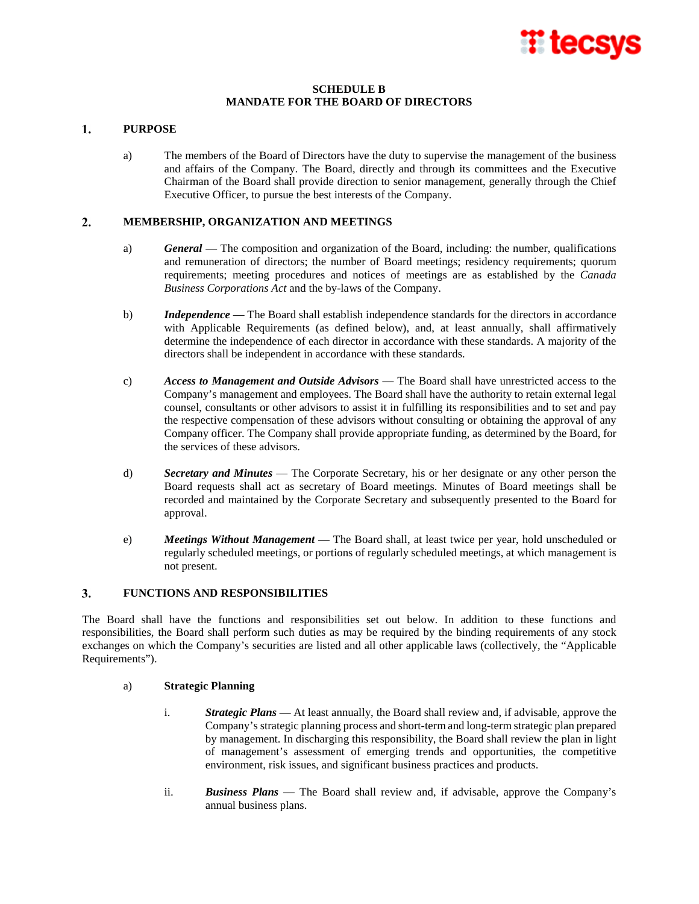

# **SCHEDULE B MANDATE FOR THE BOARD OF DIRECTORS**

#### 1. **PURPOSE**

a) The members of the Board of Directors have the duty to supervise the management of the business and affairs of the Company. The Board, directly and through its committees and the Executive Chairman of the Board shall provide direction to senior management, generally through the Chief Executive Officer, to pursue the best interests of the Company.

#### $2.$ **MEMBERSHIP, ORGANIZATION AND MEETINGS**

- a) *General* The composition and organization of the Board, including: the number, qualifications and remuneration of directors; the number of Board meetings; residency requirements; quorum requirements; meeting procedures and notices of meetings are as established by the *Canada Business Corporations Act* and the by-laws of the Company.
- b) *Independence* The Board shall establish independence standards for the directors in accordance with Applicable Requirements (as defined below), and, at least annually, shall affirmatively determine the independence of each director in accordance with these standards. A majority of the directors shall be independent in accordance with these standards.
- c) *Access to Management and Outside Advisors* The Board shall have unrestricted access to the Company's management and employees. The Board shall have the authority to retain external legal counsel, consultants or other advisors to assist it in fulfilling its responsibilities and to set and pay the respective compensation of these advisors without consulting or obtaining the approval of any Company officer. The Company shall provide appropriate funding, as determined by the Board, for the services of these advisors.
- d) *Secretary and Minutes* The Corporate Secretary, his or her designate or any other person the Board requests shall act as secretary of Board meetings. Minutes of Board meetings shall be recorded and maintained by the Corporate Secretary and subsequently presented to the Board for approval.
- e) *Meetings Without Management* The Board shall, at least twice per year, hold unscheduled or regularly scheduled meetings, or portions of regularly scheduled meetings, at which management is not present.

#### $3.$ **FUNCTIONS AND RESPONSIBILITIES**

The Board shall have the functions and responsibilities set out below. In addition to these functions and responsibilities, the Board shall perform such duties as may be required by the binding requirements of any stock exchanges on which the Company's securities are listed and all other applicable laws (collectively, the "Applicable Requirements").

## a) **Strategic Planning**

- i. *Strategic Plans* At least annually, the Board shall review and, if advisable, approve the Company's strategic planning process and short-term and long-term strategic plan prepared by management. In discharging this responsibility, the Board shall review the plan in light of management's assessment of emerging trends and opportunities, the competitive environment, risk issues, and significant business practices and products.
- ii. *Business Plans* The Board shall review and, if advisable, approve the Company's annual business plans.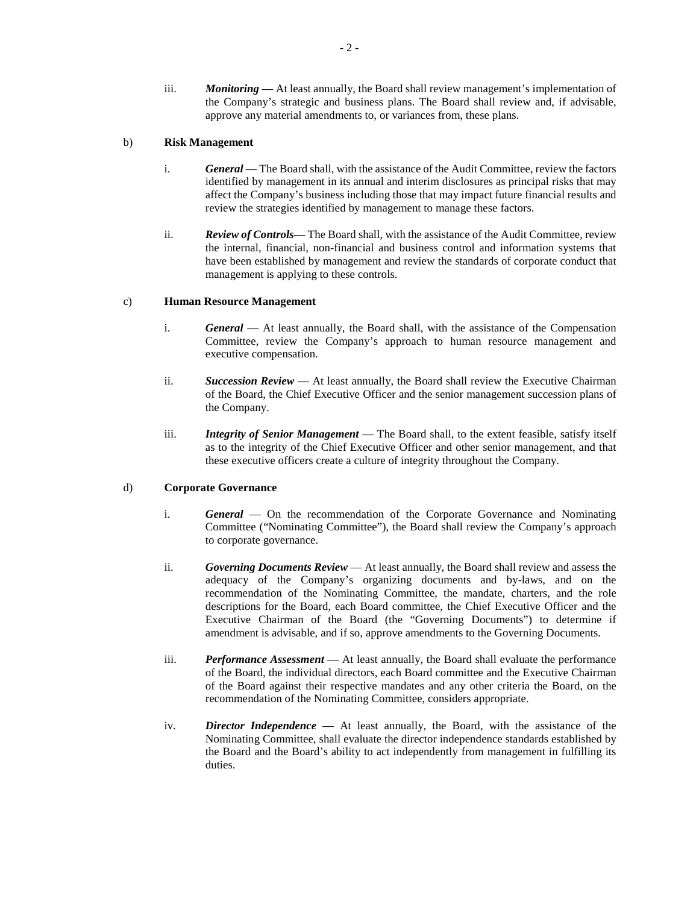iii. *Monitoring* — At least annually, the Board shall review management's implementation of the Company's strategic and business plans. The Board shall review and, if advisable, approve any material amendments to, or variances from, these plans.

# b) **Risk Management**

- i. *General* The Board shall, with the assistance of the Audit Committee, review the factors identified by management in its annual and interim disclosures as principal risks that may affect the Company's business including those that may impact future financial results and review the strategies identified by management to manage these factors.
- ii. *Review of Controls* The Board shall, with the assistance of the Audit Committee, review the internal, financial, non-financial and business control and information systems that have been established by management and review the standards of corporate conduct that management is applying to these controls.

# c) **Human Resource Management**

- i. *General* At least annually, the Board shall, with the assistance of the Compensation Committee, review the Company's approach to human resource management and executive compensation.
- ii. *Succession Review* At least annually, the Board shall review the Executive Chairman of the Board, the Chief Executive Officer and the senior management succession plans of the Company.
- iii. *Integrity of Senior Management* The Board shall, to the extent feasible, satisfy itself as to the integrity of the Chief Executive Officer and other senior management, and that these executive officers create a culture of integrity throughout the Company.

# d) **Corporate Governance**

- i. *General* On the recommendation of the Corporate Governance and Nominating Committee ("Nominating Committee"), the Board shall review the Company's approach to corporate governance.
- ii. *Governing Documents Review* At least annually, the Board shall review and assess the adequacy of the Company's organizing documents and by-laws, and on the recommendation of the Nominating Committee, the mandate, charters, and the role descriptions for the Board, each Board committee, the Chief Executive Officer and the Executive Chairman of the Board (the "Governing Documents") to determine if amendment is advisable, and if so, approve amendments to the Governing Documents.
- iii. *Performance Assessment* At least annually, the Board shall evaluate the performance of the Board, the individual directors, each Board committee and the Executive Chairman of the Board against their respective mandates and any other criteria the Board, on the recommendation of the Nominating Committee, considers appropriate.
- iv. *Director Independence* At least annually, the Board, with the assistance of the Nominating Committee, shall evaluate the director independence standards established by the Board and the Board's ability to act independently from management in fulfilling its duties.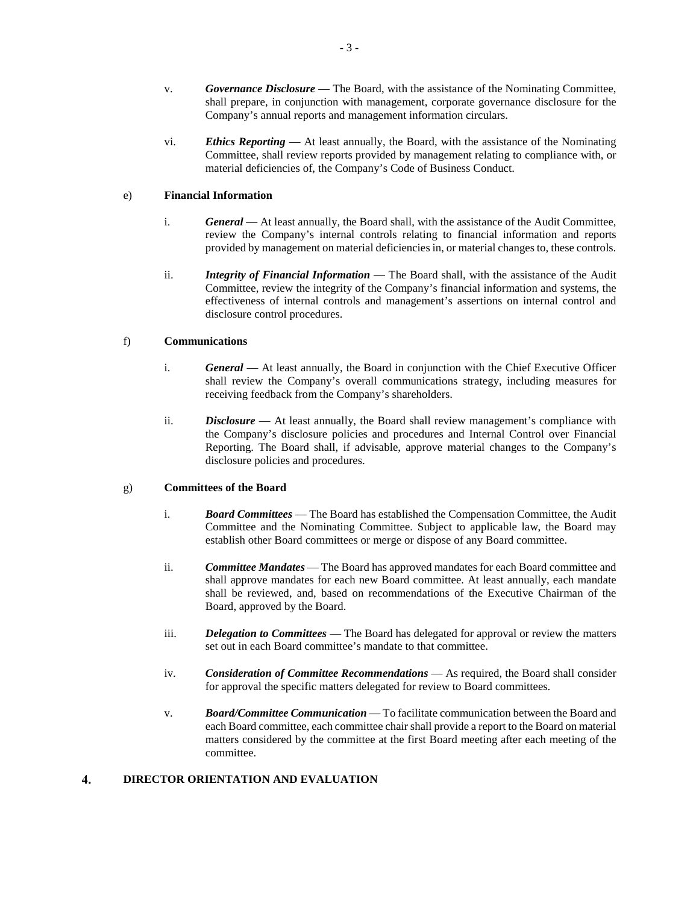- v. *Governance Disclosure* The Board, with the assistance of the Nominating Committee, shall prepare, in conjunction with management, corporate governance disclosure for the Company's annual reports and management information circulars.
- vi. *Ethics Reporting* At least annually, the Board, with the assistance of the Nominating Committee, shall review reports provided by management relating to compliance with, or material deficiencies of, the Company's Code of Business Conduct.

# e) **Financial Information**

- i. *General* At least annually, the Board shall, with the assistance of the Audit Committee, review the Company's internal controls relating to financial information and reports provided by management on material deficiencies in, or material changes to, these controls.
- ii. *Integrity of Financial Information* The Board shall, with the assistance of the Audit Committee, review the integrity of the Company's financial information and systems, the effectiveness of internal controls and management's assertions on internal control and disclosure control procedures.

# f) **Communications**

- i. *General* At least annually, the Board in conjunction with the Chief Executive Officer shall review the Company's overall communications strategy, including measures for receiving feedback from the Company's shareholders.
- ii. *Disclosure* At least annually, the Board shall review management's compliance with the Company's disclosure policies and procedures and Internal Control over Financial Reporting. The Board shall, if advisable, approve material changes to the Company's disclosure policies and procedures.

# g) **Committees of the Board**

- i. *Board Committees* The Board has established the Compensation Committee, the Audit Committee and the Nominating Committee. Subject to applicable law, the Board may establish other Board committees or merge or dispose of any Board committee.
- ii. *Committee Mandates* The Board has approved mandates for each Board committee and shall approve mandates for each new Board committee. At least annually, each mandate shall be reviewed, and, based on recommendations of the Executive Chairman of the Board, approved by the Board.
- iii. *Delegation to Committees* The Board has delegated for approval or review the matters set out in each Board committee's mandate to that committee.
- iv. *Consideration of Committee Recommendations* As required, the Board shall consider for approval the specific matters delegated for review to Board committees.
- v. *Board/Committee Communication* To facilitate communication between the Board and each Board committee, each committee chair shall provide a report to the Board on material matters considered by the committee at the first Board meeting after each meeting of the committee.

#### $\overline{4}$ . **DIRECTOR ORIENTATION AND EVALUATION**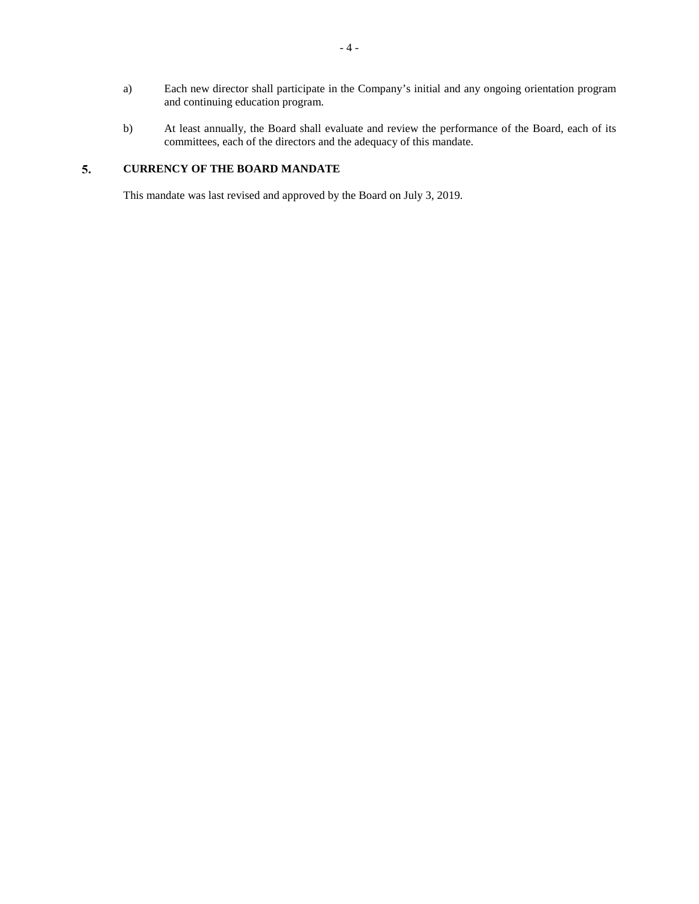- a) Each new director shall participate in the Company's initial and any ongoing orientation program and continuing education program.
- b) At least annually, the Board shall evaluate and review the performance of the Board, each of its committees, each of the directors and the adequacy of this mandate.

#### 5. **CURRENCY OF THE BOARD MANDATE**

This mandate was last revised and approved by the Board on July 3, 2019.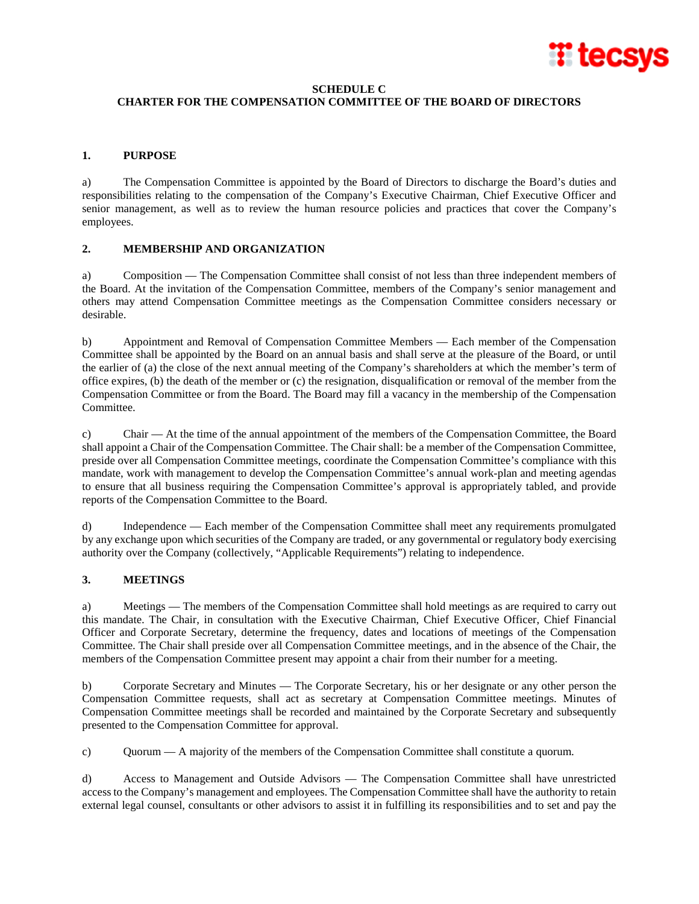

# **SCHEDULE C**

# **CHARTER FOR THE COMPENSATION COMMITTEE OF THE BOARD OF DIRECTORS**

# **1. PURPOSE**

a) The Compensation Committee is appointed by the Board of Directors to discharge the Board's duties and responsibilities relating to the compensation of the Company's Executive Chairman, Chief Executive Officer and senior management, as well as to review the human resource policies and practices that cover the Company's employees.

# **2. MEMBERSHIP AND ORGANIZATION**

a) Composition — The Compensation Committee shall consist of not less than three independent members of the Board. At the invitation of the Compensation Committee, members of the Company's senior management and others may attend Compensation Committee meetings as the Compensation Committee considers necessary or desirable.

b) Appointment and Removal of Compensation Committee Members — Each member of the Compensation Committee shall be appointed by the Board on an annual basis and shall serve at the pleasure of the Board, or until the earlier of (a) the close of the next annual meeting of the Company's shareholders at which the member's term of office expires, (b) the death of the member or (c) the resignation, disqualification or removal of the member from the Compensation Committee or from the Board. The Board may fill a vacancy in the membership of the Compensation Committee.

c) Chair — At the time of the annual appointment of the members of the Compensation Committee, the Board shall appoint a Chair of the Compensation Committee. The Chair shall: be a member of the Compensation Committee, preside over all Compensation Committee meetings, coordinate the Compensation Committee's compliance with this mandate, work with management to develop the Compensation Committee's annual work-plan and meeting agendas to ensure that all business requiring the Compensation Committee's approval is appropriately tabled, and provide reports of the Compensation Committee to the Board.

d) Independence — Each member of the Compensation Committee shall meet any requirements promulgated by any exchange upon which securities of the Company are traded, or any governmental or regulatory body exercising authority over the Company (collectively, "Applicable Requirements") relating to independence.

# **3. MEETINGS**

a) Meetings — The members of the Compensation Committee shall hold meetings as are required to carry out this mandate. The Chair, in consultation with the Executive Chairman, Chief Executive Officer, Chief Financial Officer and Corporate Secretary, determine the frequency, dates and locations of meetings of the Compensation Committee. The Chair shall preside over all Compensation Committee meetings, and in the absence of the Chair, the members of the Compensation Committee present may appoint a chair from their number for a meeting.

b) Corporate Secretary and Minutes — The Corporate Secretary, his or her designate or any other person the Compensation Committee requests, shall act as secretary at Compensation Committee meetings. Minutes of Compensation Committee meetings shall be recorded and maintained by the Corporate Secretary and subsequently presented to the Compensation Committee for approval.

c) Quorum — A majority of the members of the Compensation Committee shall constitute a quorum.

d) Access to Management and Outside Advisors — The Compensation Committee shall have unrestricted access to the Company's management and employees. The Compensation Committee shall have the authority to retain external legal counsel, consultants or other advisors to assist it in fulfilling its responsibilities and to set and pay the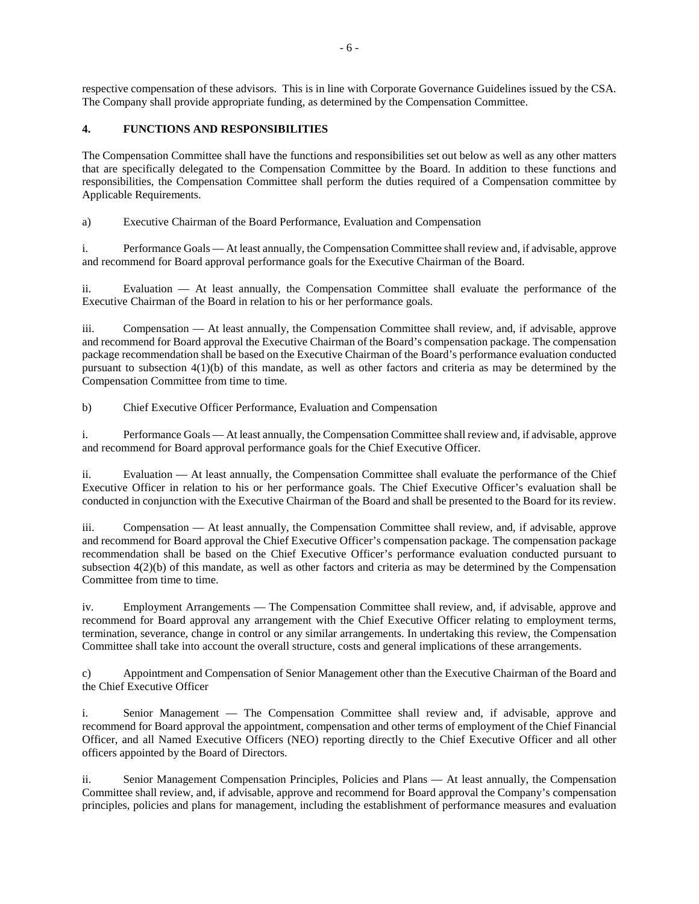respective compensation of these advisors. This is in line with Corporate Governance Guidelines issued by the CSA. The Company shall provide appropriate funding, as determined by the Compensation Committee.

# **4. FUNCTIONS AND RESPONSIBILITIES**

The Compensation Committee shall have the functions and responsibilities set out below as well as any other matters that are specifically delegated to the Compensation Committee by the Board. In addition to these functions and responsibilities, the Compensation Committee shall perform the duties required of a Compensation committee by Applicable Requirements.

a) Executive Chairman of the Board Performance, Evaluation and Compensation

i. Performance Goals — At least annually, the Compensation Committee shall review and, if advisable, approve and recommend for Board approval performance goals for the Executive Chairman of the Board.

ii. Evaluation — At least annually, the Compensation Committee shall evaluate the performance of the Executive Chairman of the Board in relation to his or her performance goals.

iii. Compensation — At least annually, the Compensation Committee shall review, and, if advisable, approve and recommend for Board approval the Executive Chairman of the Board's compensation package. The compensation package recommendation shall be based on the Executive Chairman of the Board's performance evaluation conducted pursuant to subsection 4(1)(b) of this mandate, as well as other factors and criteria as may be determined by the Compensation Committee from time to time.

b) Chief Executive Officer Performance, Evaluation and Compensation

i. Performance Goals — At least annually, the Compensation Committee shall review and, if advisable, approve and recommend for Board approval performance goals for the Chief Executive Officer.

ii. Evaluation — At least annually, the Compensation Committee shall evaluate the performance of the Chief Executive Officer in relation to his or her performance goals. The Chief Executive Officer's evaluation shall be conducted in conjunction with the Executive Chairman of the Board and shall be presented to the Board for its review.

iii. Compensation — At least annually, the Compensation Committee shall review, and, if advisable, approve and recommend for Board approval the Chief Executive Officer's compensation package. The compensation package recommendation shall be based on the Chief Executive Officer's performance evaluation conducted pursuant to subsection 4(2)(b) of this mandate, as well as other factors and criteria as may be determined by the Compensation Committee from time to time.

iv. Employment Arrangements — The Compensation Committee shall review, and, if advisable, approve and recommend for Board approval any arrangement with the Chief Executive Officer relating to employment terms, termination, severance, change in control or any similar arrangements. In undertaking this review, the Compensation Committee shall take into account the overall structure, costs and general implications of these arrangements.

c) Appointment and Compensation of Senior Management other than the Executive Chairman of the Board and the Chief Executive Officer

i. Senior Management — The Compensation Committee shall review and, if advisable, approve and recommend for Board approval the appointment, compensation and other terms of employment of the Chief Financial Officer, and all Named Executive Officers (NEO) reporting directly to the Chief Executive Officer and all other officers appointed by the Board of Directors.

ii. Senior Management Compensation Principles, Policies and Plans — At least annually, the Compensation Committee shall review, and, if advisable, approve and recommend for Board approval the Company's compensation principles, policies and plans for management, including the establishment of performance measures and evaluation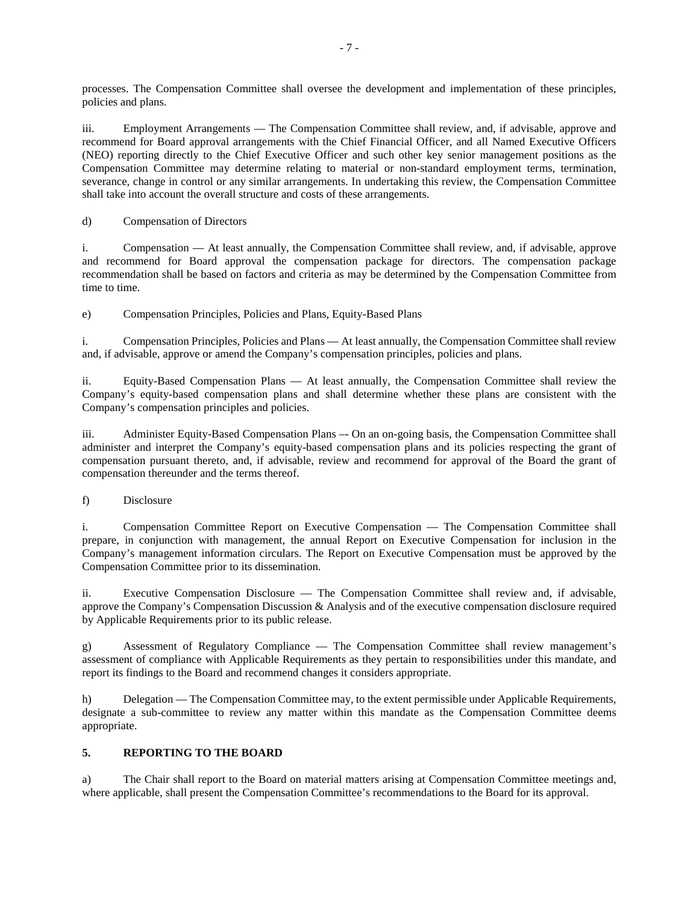processes. The Compensation Committee shall oversee the development and implementation of these principles, policies and plans.

iii. Employment Arrangements — The Compensation Committee shall review, and, if advisable, approve and recommend for Board approval arrangements with the Chief Financial Officer, and all Named Executive Officers (NEO) reporting directly to the Chief Executive Officer and such other key senior management positions as the Compensation Committee may determine relating to material or non-standard employment terms, termination, severance, change in control or any similar arrangements. In undertaking this review, the Compensation Committee shall take into account the overall structure and costs of these arrangements.

d) Compensation of Directors

i. Compensation — At least annually, the Compensation Committee shall review, and, if advisable, approve and recommend for Board approval the compensation package for directors. The compensation package recommendation shall be based on factors and criteria as may be determined by the Compensation Committee from time to time.

e) Compensation Principles, Policies and Plans, Equity-Based Plans

i. Compensation Principles, Policies and Plans — At least annually, the Compensation Committee shall review and, if advisable, approve or amend the Company's compensation principles, policies and plans.

ii. Equity-Based Compensation Plans — At least annually, the Compensation Committee shall review the Company's equity-based compensation plans and shall determine whether these plans are consistent with the Company's compensation principles and policies.

iii. Administer Equity-Based Compensation Plans –- On an on-going basis, the Compensation Committee shall administer and interpret the Company's equity-based compensation plans and its policies respecting the grant of compensation pursuant thereto, and, if advisable, review and recommend for approval of the Board the grant of compensation thereunder and the terms thereof.

f) Disclosure

i. Compensation Committee Report on Executive Compensation — The Compensation Committee shall prepare, in conjunction with management, the annual Report on Executive Compensation for inclusion in the Company's management information circulars. The Report on Executive Compensation must be approved by the Compensation Committee prior to its dissemination.

ii. Executive Compensation Disclosure — The Compensation Committee shall review and, if advisable, approve the Company's Compensation Discussion & Analysis and of the executive compensation disclosure required by Applicable Requirements prior to its public release.

g) Assessment of Regulatory Compliance — The Compensation Committee shall review management's assessment of compliance with Applicable Requirements as they pertain to responsibilities under this mandate, and report its findings to the Board and recommend changes it considers appropriate.

h) Delegation — The Compensation Committee may, to the extent permissible under Applicable Requirements, designate a sub-committee to review any matter within this mandate as the Compensation Committee deems appropriate.

# **5. REPORTING TO THE BOARD**

a) The Chair shall report to the Board on material matters arising at Compensation Committee meetings and, where applicable, shall present the Compensation Committee's recommendations to the Board for its approval.